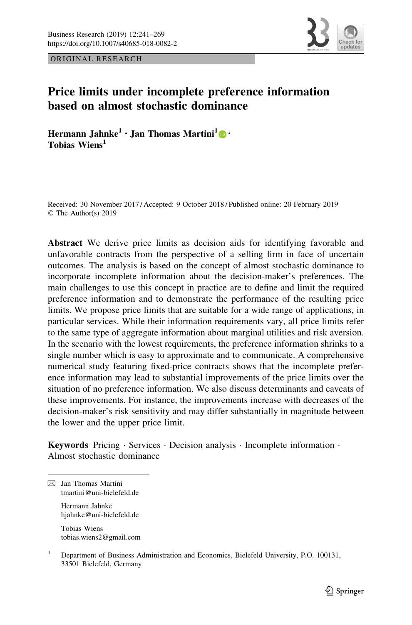

ORIGINAL RESEARCH

# Price limits under incomplete preference information based on almost stochastic dominance

Hermann Jahnke<sup>1</sup> · Jan Thomas Martini<sup>1</sup><sup>0</sup> Tobias Wiens<sup>1</sup>

Received: 30 November 2017 / Accepted: 9 October 2018 / Published online: 20 February 2019 © The Author(s) 2019

Abstract We derive price limits as decision aids for identifying favorable and unfavorable contracts from the perspective of a selling firm in face of uncertain outcomes. The analysis is based on the concept of almost stochastic dominance to incorporate incomplete information about the decision-maker's preferences. The main challenges to use this concept in practice are to define and limit the required preference information and to demonstrate the performance of the resulting price limits. We propose price limits that are suitable for a wide range of applications, in particular services. While their information requirements vary, all price limits refer to the same type of aggregate information about marginal utilities and risk aversion. In the scenario with the lowest requirements, the preference information shrinks to a single number which is easy to approximate and to communicate. A comprehensive numerical study featuring fixed-price contracts shows that the incomplete preference information may lead to substantial improvements of the price limits over the situation of no preference information. We also discuss determinants and caveats of these improvements. For instance, the improvements increase with decreases of the decision-maker's risk sensitivity and may differ substantially in magnitude between the lower and the upper price limit.

Keywords Pricing · Services · Decision analysis · Incomplete information · Almost stochastic dominance

Hermann Jahnke hjahnke@uni-bielefeld.de

Tobias Wiens tobias.wiens2@gmail.com

 $\boxtimes$  Jan Thomas Martini tmartini@uni-bielefeld.de

<sup>1</sup> Department of Business Administration and Economics, Bielefeld University, P.O. 100131, 33501 Bielefeld, Germany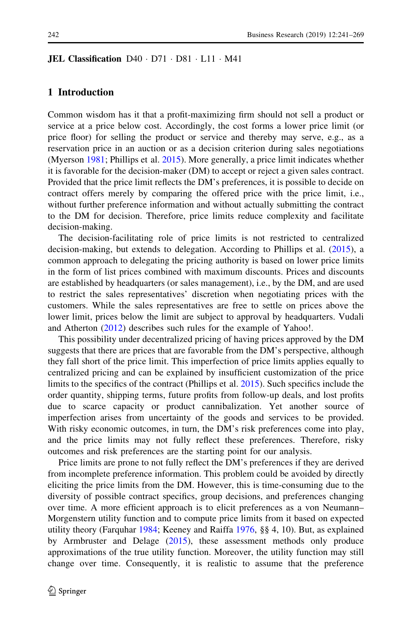# **JEL Classification**  $D40 \cdot D71 \cdot D81 \cdot L11 \cdot M41$

# 1 Introduction

Common wisdom has it that a profit-maximizing firm should not sell a product or service at a price below cost. Accordingly, the cost forms a lower price limit (or price floor) for selling the product or service and thereby may serve, e.g., as a reservation price in an auction or as a decision criterion during sales negotiations (Myerson [1981](#page-27-0); Phillips et al. [2015\)](#page-27-0). More generally, a price limit indicates whether it is favorable for the decision-maker (DM) to accept or reject a given sales contract. Provided that the price limit reflects the DM's preferences, it is possible to decide on contract offers merely by comparing the offered price with the price limit, i.e., without further preference information and without actually submitting the contract to the DM for decision. Therefore, price limits reduce complexity and facilitate decision-making.

The decision-facilitating role of price limits is not restricted to centralized decision-making, but extends to delegation. According to Phillips et al. [\(2015](#page-27-0)), a common approach to delegating the pricing authority is based on lower price limits in the form of list prices combined with maximum discounts. Prices and discounts are established by headquarters (or sales management), i.e., by the DM, and are used to restrict the sales representatives' discretion when negotiating prices with the customers. While the sales representatives are free to settle on prices above the lower limit, prices below the limit are subject to approval by headquarters. Vudali and Atherton ([2012\)](#page-28-0) describes such rules for the example of Yahoo!.

This possibility under decentralized pricing of having prices approved by the DM suggests that there are prices that are favorable from the DM's perspective, although they fall short of the price limit. This imperfection of price limits applies equally to centralized pricing and can be explained by insufficient customization of the price limits to the specifics of the contract (Phillips et al. [2015\)](#page-27-0). Such specifics include the order quantity, shipping terms, future profits from follow-up deals, and lost profits due to scarce capacity or product cannibalization. Yet another source of imperfection arises from uncertainty of the goods and services to be provided. With risky economic outcomes, in turn, the DM's risk preferences come into play, and the price limits may not fully reflect these preferences. Therefore, risky outcomes and risk preferences are the starting point for our analysis.

Price limits are prone to not fully reflect the DM's preferences if they are derived from incomplete preference information. This problem could be avoided by directly eliciting the price limits from the DM. However, this is time-consuming due to the diversity of possible contract specifics, group decisions, and preferences changing over time. A more efficient approach is to elicit preferences as a von Neumann– Morgenstern utility function and to compute price limits from it based on expected utility theory (Farquhar [1984](#page-27-0); Keeney and Raiffa [1976,](#page-27-0) §§ 4, 10). But, as explained by Armbruster and Delage [\(2015](#page-27-0)), these assessment methods only produce approximations of the true utility function. Moreover, the utility function may still change over time. Consequently, it is realistic to assume that the preference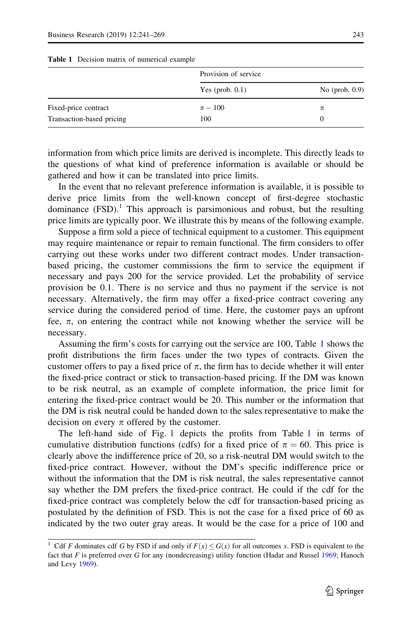|                           | Provision of service |                   |  |
|---------------------------|----------------------|-------------------|--|
|                           | Yes (prob. $0.1$ )   | No (prob. $0.9$ ) |  |
| Fixed-price contract      | $\pi - 100$          | π                 |  |
| Transaction-based pricing | 100                  | $\theta$          |  |

#### Table 1 Decision matrix of numerical example

information from which price limits are derived is incomplete. This directly leads to the questions of what kind of preference information is available or should be gathered and how it can be translated into price limits.

In the event that no relevant preference information is available, it is possible to derive price limits from the well-known concept of first-degree stochastic dominance  $(FSD)$ .<sup>1</sup> This approach is parsimonious and robust, but the resulting price limits are typically poor. We illustrate this by means of the following example.

Suppose a firm sold a piece of technical equipment to a customer. This equipment may require maintenance or repair to remain functional. The firm considers to offer carrying out these works under two different contract modes. Under transactionbased pricing, the customer commissions the firm to service the equipment if necessary and pays 200 for the service provided. Let the probability of service provision be 0.1. There is no service and thus no payment if the service is not necessary. Alternatively, the firm may offer a fixed-price contract covering any service during the considered period of time. Here, the customer pays an upfront fee,  $\pi$ , on entering the contract while not knowing whether the service will be necessary.

Assuming the firm's costs for carrying out the service are 100, Table 1 shows the profit distributions the firm faces under the two types of contracts. Given the customer offers to pay a fixed price of  $\pi$ , the firm has to decide whether it will enter the fixed-price contract or stick to transaction-based pricing. If the DM was known to be risk neutral, as an example of complete information, the price limit for entering the fixed-price contract would be 20. This number or the information that the DM is risk neutral could be handed down to the sales representative to make the decision on every  $\pi$  offered by the customer.

The left-hand side of Fig. [1](#page-3-0) depicts the profits from Table 1 in terms of cumulative distribution functions (cdfs) for a fixed price of  $\pi = 60$ . This price is clearly above the indifference price of 20, so a risk-neutral DM would switch to the fixed-price contract. However, without the DM's specific indifference price or without the information that the DM is risk neutral, the sales representative cannot say whether the DM prefers the fixed-price contract. He could if the cdf for the fixed-price contract was completely below the cdf for transaction-based pricing as postulated by the definition of FSD. This is not the case for a fixed price of 60 as indicated by the two outer gray areas. It would be the case for a price of 100 and

<sup>&</sup>lt;sup>1</sup> Cdf F dominates cdf G by FSD if and only if  $F(x) \le G(x)$  for all outcomes x. FSD is equivalent to the fact that F is preferred over G for any (nondecreasing) utility function (Hadar and Russel [1969;](#page-27-0) Hanoch and Levy [1969](#page-27-0)).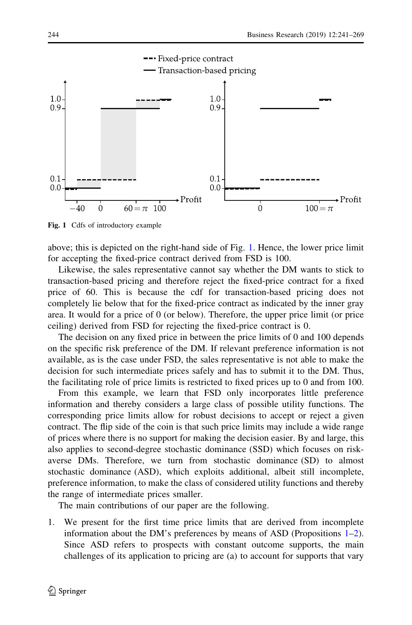<span id="page-3-0"></span>

Fig. 1 Cdfs of introductory example

above; this is depicted on the right-hand side of Fig. 1. Hence, the lower price limit for accepting the fixed-price contract derived from FSD is 100.

Likewise, the sales representative cannot say whether the DM wants to stick to transaction-based pricing and therefore reject the fixed-price contract for a fixed price of 60. This is because the cdf for transaction-based pricing does not completely lie below that for the fixed-price contract as indicated by the inner gray area. It would for a price of 0 (or below). Therefore, the upper price limit (or price ceiling) derived from FSD for rejecting the fixed-price contract is 0.

The decision on any fixed price in between the price limits of 0 and 100 depends on the specific risk preference of the DM. If relevant preference information is not available, as is the case under FSD, the sales representative is not able to make the decision for such intermediate prices safely and has to submit it to the DM. Thus, the facilitating role of price limits is restricted to fixed prices up to 0 and from 100.

From this example, we learn that FSD only incorporates little preference information and thereby considers a large class of possible utility functions. The corresponding price limits allow for robust decisions to accept or reject a given contract. The flip side of the coin is that such price limits may include a wide range of prices where there is no support for making the decision easier. By and large, this also applies to second-degree stochastic dominance (SSD) which focuses on riskaverse DMs. Therefore, we turn from stochastic dominance (SD) to almost stochastic dominance (ASD), which exploits additional, albeit still incomplete, preference information, to make the class of considered utility functions and thereby the range of intermediate prices smaller.

The main contributions of our paper are the following.

1. We present for the first time price limits that are derived from incomplete information about the DM's preferences by means of ASD (Propositions [1–](#page-13-0)[2\)](#page-14-0). Since ASD refers to prospects with constant outcome supports, the main challenges of its application to pricing are (a) to account for supports that vary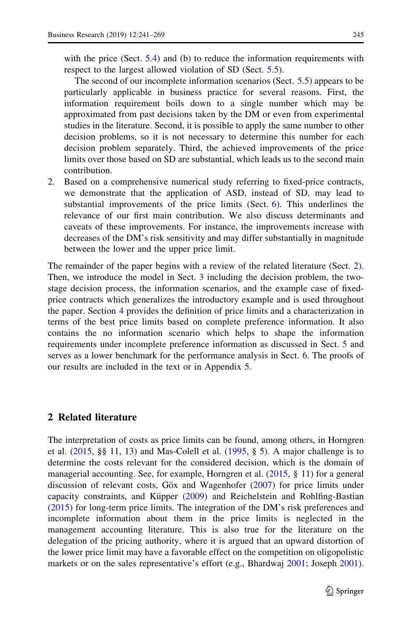with the price (Sect.  $5.4$ ) and (b) to reduce the information requirements with respect to the largest allowed violation of SD (Sect. [5.5](#page-14-0)).

The second of our incomplete information scenarios (Sect. [5.5\)](#page-14-0) appears to be particularly applicable in business practice for several reasons. First, the information requirement boils down to a single number which may be approximated from past decisions taken by the DM or even from experimental studies in the literature. Second, it is possible to apply the same number to other decision problems, so it is not necessary to determine this number for each decision problem separately. Third, the achieved improvements of the price limits over those based on SD are substantial, which leads us to the second main contribution.

2. Based on a comprehensive numerical study referring to fixed-price contracts, we demonstrate that the application of ASD, instead of SD, may lead to substantial improvements of the price limits (Sect. [6](#page-16-0)). This underlines the relevance of our first main contribution. We also discuss determinants and caveats of these improvements. For instance, the improvements increase with decreases of the DM's risk sensitivity and may differ substantially in magnitude between the lower and the upper price limit.

The remainder of the paper begins with a review of the related literature (Sect. 2). Then, we introduce the model in Sect. [3](#page-5-0) including the decision problem, the twostage decision process, the information scenarios, and the example case of fixedprice contracts which generalizes the introductory example and is used throughout the paper. Section [4](#page-9-0) provides the definition of price limits and a characterization in terms of the best price limits based on complete preference information. It also contains the no information scenario which helps to shape the information requirements under incomplete preference information as discussed in Sect. [5](#page-11-0) and serves as a lower benchmark for the performance analysis in Sect. [6.](#page-16-0) The proofs of our results are included in the text or in Appendix [5](#page-26-0).

# 2 Related literature

The interpretation of costs as price limits can be found, among others, in Horngren et al.  $(2015, \S \S 11, 13)$  $(2015, \S \S 11, 13)$  and Mas-Colell et al.  $(1995, \S 5)$  $(1995, \S 5)$ . A major challenge is to determine the costs relevant for the considered decision, which is the domain of managerial accounting. See, for example, Horngren et al. [\(2015](#page-27-0), § 11) for a general discussion of relevant costs, Göx and Wagenhofer [\(2007](#page-27-0)) for price limits under capacity constraints, and Küpper [\(2009](#page-27-0)) and Reichelstein and Rohlfing-Bastian [\(2015](#page-27-0)) for long-term price limits. The integration of the DM's risk preferences and incomplete information about them in the price limits is neglected in the management accounting literature. This is also true for the literature on the delegation of the pricing authority, where it is argued that an upward distortion of the lower price limit may have a favorable effect on the competition on oligopolistic markets or on the sales representative's effort (e.g., Bhardwaj [2001](#page-27-0); Joseph [2001\)](#page-27-0).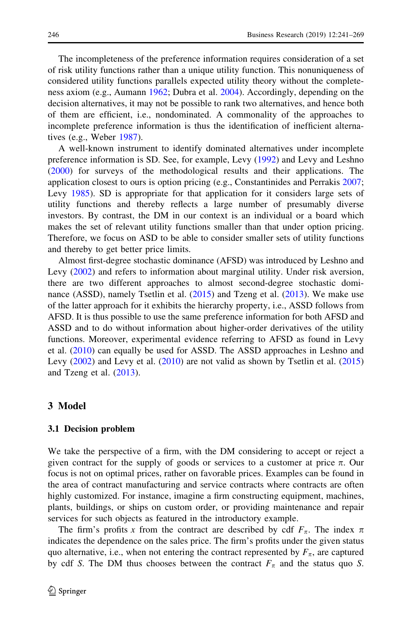<span id="page-5-0"></span>The incompleteness of the preference information requires consideration of a set of risk utility functions rather than a unique utility function. This nonuniqueness of considered utility functions parallels expected utility theory without the completeness axiom (e.g., Aumann [1962;](#page-27-0) Dubra et al. [2004](#page-27-0)). Accordingly, depending on the decision alternatives, it may not be possible to rank two alternatives, and hence both of them are efficient, i.e., nondominated. A commonality of the approaches to incomplete preference information is thus the identification of inefficient alternatives (e.g., Weber [1987\)](#page-28-0).

A well-known instrument to identify dominated alternatives under incomplete preference information is SD. See, for example, Levy ([1992\)](#page-27-0) and Levy and Leshno [\(2000](#page-27-0)) for surveys of the methodological results and their applications. The application closest to ours is option pricing (e.g., Constantinides and Perrakis [2007;](#page-27-0) Levy [1985\)](#page-27-0). SD is appropriate for that application for it considers large sets of utility functions and thereby reflects a large number of presumably diverse investors. By contrast, the DM in our context is an individual or a board which makes the set of relevant utility functions smaller than that under option pricing. Therefore, we focus on ASD to be able to consider smaller sets of utility functions and thereby to get better price limits.

Almost first-degree stochastic dominance (AFSD) was introduced by Leshno and Levy [\(2002](#page-27-0)) and refers to information about marginal utility. Under risk aversion, there are two different approaches to almost second-degree stochastic dominance (ASSD), namely Tsetlin et al. ([2015\)](#page-27-0) and Tzeng et al. [\(2013](#page-28-0)). We make use of the latter approach for it exhibits the hierarchy property, i.e., ASSD follows from AFSD. It is thus possible to use the same preference information for both AFSD and ASSD and to do without information about higher-order derivatives of the utility functions. Moreover, experimental evidence referring to AFSD as found in Levy et al. ([2010\)](#page-27-0) can equally be used for ASSD. The ASSD approaches in Leshno and Levy  $(2002)$  $(2002)$  and Levy et al.  $(2010)$  $(2010)$  are not valid as shown by Tsetlin et al.  $(2015)$  $(2015)$ and Tzeng et al. [\(2013](#page-28-0)).

# 3 Model

### 3.1 Decision problem

We take the perspective of a firm, with the DM considering to accept or reject a given contract for the supply of goods or services to a customer at price  $\pi$ . Our focus is not on optimal prices, rather on favorable prices. Examples can be found in the area of contract manufacturing and service contracts where contracts are often highly customized. For instance, imagine a firm constructing equipment, machines, plants, buildings, or ships on custom order, or providing maintenance and repair services for such objects as featured in the introductory example.

The firm's profits x from the contract are described by cdf  $F_\pi$ . The index  $\pi$ indicates the dependence on the sales price. The firm's profits under the given status quo alternative, i.e., when not entering the contract represented by  $F_{\pi}$ , are captured by cdf S. The DM thus chooses between the contract  $F_{\pi}$  and the status quo S.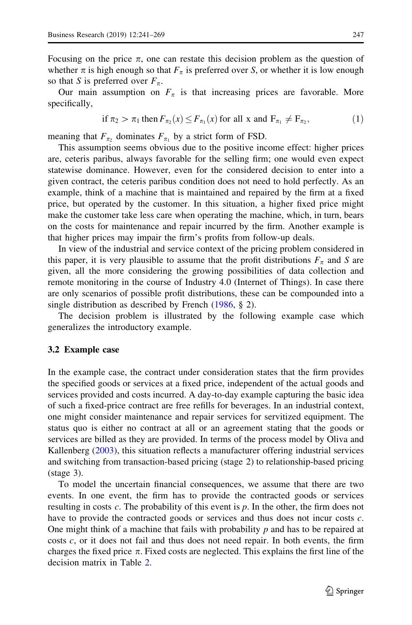<span id="page-6-0"></span>Focusing on the price  $\pi$ , one can restate this decision problem as the question of whether  $\pi$  is high enough so that  $F_{\pi}$  is preferred over S, or whether it is low enough so that S is preferred over  $F_{\pi}$ .

Our main assumption on  $F_{\pi}$  is that increasing prices are favorable. More specifically,

if 
$$
\pi_2 > \pi_1
$$
 then  $F_{\pi_2}(x) \leq F_{\pi_1}(x)$  for all x and  $F_{\pi_1} \neq F_{\pi_2}$ , 
$$
(1)
$$

meaning that  $F_{\pi}$ , dominates  $F_{\pi}$ , by a strict form of FSD.

This assumption seems obvious due to the positive income effect: higher prices are, ceteris paribus, always favorable for the selling firm; one would even expect statewise dominance. However, even for the considered decision to enter into a given contract, the ceteris paribus condition does not need to hold perfectly. As an example, think of a machine that is maintained and repaired by the firm at a fixed price, but operated by the customer. In this situation, a higher fixed price might make the customer take less care when operating the machine, which, in turn, bears on the costs for maintenance and repair incurred by the firm. Another example is that higher prices may impair the firm's profits from follow-up deals.

In view of the industrial and service context of the pricing problem considered in this paper, it is very plausible to assume that the profit distributions  $F_{\pi}$  and S are given, all the more considering the growing possibilities of data collection and remote monitoring in the course of Industry 4.0 (Internet of Things). In case there are only scenarios of possible profit distributions, these can be compounded into a single distribution as described by French ([1986,](#page-27-0) § 2).

The decision problem is illustrated by the following example case which generalizes the introductory example.

# 3.2 Example case

In the example case, the contract under consideration states that the firm provides the specified goods or services at a fixed price, independent of the actual goods and services provided and costs incurred. A day-to-day example capturing the basic idea of such a fixed-price contract are free refills for beverages. In an industrial context, one might consider maintenance and repair services for servitized equipment. The status quo is either no contract at all or an agreement stating that the goods or services are billed as they are provided. In terms of the process model by Oliva and Kallenberg ([2003\)](#page-27-0), this situation reflects a manufacturer offering industrial services and switching from transaction-based pricing (stage 2) to relationship-based pricing (stage 3).

To model the uncertain financial consequences, we assume that there are two events. In one event, the firm has to provide the contracted goods or services resulting in costs c. The probability of this event is p. In the other, the firm does not have to provide the contracted goods or services and thus does not incur costs c. One might think of a machine that fails with probability  $p$  and has to be repaired at costs  $c$ , or it does not fail and thus does not need repair. In both events, the firm charges the fixed price  $\pi$ . Fixed costs are neglected. This explains the first line of the decision matrix in Table [2.](#page-7-0)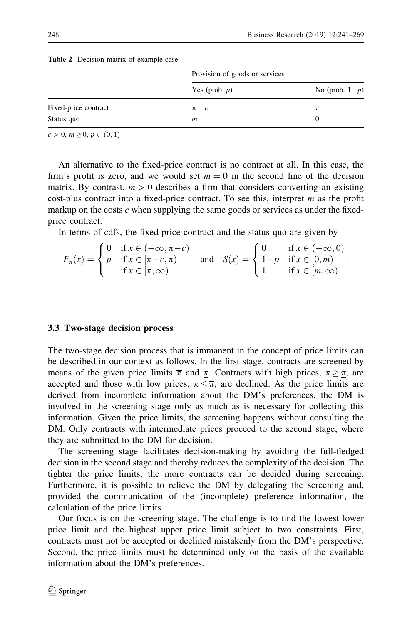|                      |                  | Provision of goods or services |  |  |
|----------------------|------------------|--------------------------------|--|--|
|                      | Yes (prob. $p$ ) | No (prob. $1-p$ )              |  |  |
| Fixed-price contract | $\pi-c$          | π                              |  |  |
| Status quo           | m                |                                |  |  |

#### <span id="page-7-0"></span>Table 2 Decision matrix of example case

 $c > 0, m \ge 0, p \in (0, 1)$ 

An alternative to the fixed-price contract is no contract at all. In this case, the firm's profit is zero, and we would set  $m = 0$  in the second line of the decision matrix. By contrast,  $m > 0$  describes a firm that considers converting an existing cost-plus contract into a fixed-price contract. To see this, interpret  $m$  as the profit markup on the costs  $c$  when supplying the same goods or services as under the fixedprice contract.

In terms of cdfs, the fixed-price contract and the status quo are given by

$$
F_{\pi}(x) = \begin{cases} 0 & \text{if } x \in (-\infty, \pi - c) \\ p & \text{if } x \in [\pi - c, \pi) \\ 1 & \text{if } x \in [\pi, \infty) \end{cases} \quad \text{and} \quad S(x) = \begin{cases} 0 & \text{if } x \in (-\infty, 0) \\ 1 - p & \text{if } x \in [0, m) \\ 1 & \text{if } x \in [m, \infty) \end{cases}.
$$

#### 3.3 Two-stage decision process

The two-stage decision process that is immanent in the concept of price limits can be described in our context as follows. In the first stage, contracts are screened by means of the given price limits  $\bar{\pi}$  and  $\underline{\pi}$ . Contracts with high prices,  $\pi \geq \underline{\pi}$ , are accepted and those with low prices,  $\pi \leq \overline{\pi}$ , are declined. As the price limits are derived from incomplete information about the DM's preferences, the DM is involved in the screening stage only as much as is necessary for collecting this information. Given the price limits, the screening happens without consulting the DM. Only contracts with intermediate prices proceed to the second stage, where they are submitted to the DM for decision.

The screening stage facilitates decision-making by avoiding the full-fledged decision in the second stage and thereby reduces the complexity of the decision. The tighter the price limits, the more contracts can be decided during screening. Furthermore, it is possible to relieve the DM by delegating the screening and, provided the communication of the (incomplete) preference information, the calculation of the price limits.

Our focus is on the screening stage. The challenge is to find the lowest lower price limit and the highest upper price limit subject to two constraints. First, contracts must not be accepted or declined mistakenly from the DM's perspective. Second, the price limits must be determined only on the basis of the available information about the DM's preferences.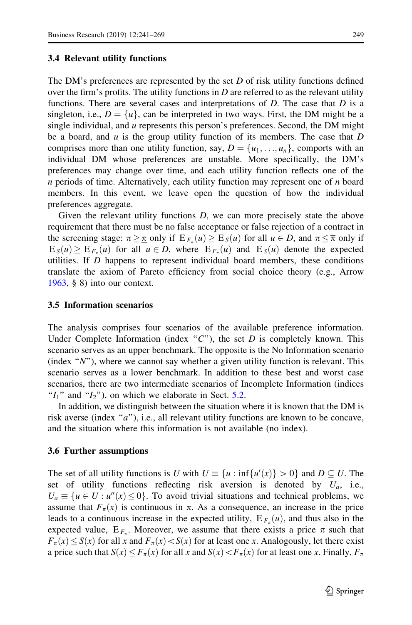### 3.4 Relevant utility functions

The DM's preferences are represented by the set  $D$  of risk utility functions defined over the firm's profits. The utility functions in  $D$  are referred to as the relevant utility functions. There are several cases and interpretations of  $D$ . The case that  $D$  is a singleton, i.e.,  $D = \{u\}$ , can be interpreted in two ways. First, the DM might be a single individual, and  $u$  represents this person's preferences. Second, the DM might be a board, and  $u$  is the group utility function of its members. The case that  $D$ comprises more than one utility function, say,  $D = \{u_1, \ldots, u_n\}$ , comports with an individual DM whose preferences are unstable. More specifically, the DM's preferences may change over time, and each utility function reflects one of the n periods of time. Alternatively, each utility function may represent one of n board members. In this event, we leave open the question of how the individual preferences aggregate.

Given the relevant utility functions D, we can more precisely state the above requirement that there must be no false acceptance or false rejection of a contract in the screening stage:  $\pi \geq \pi$  only if  $E_{F_{\pi}}(u) \geq E_{S}(u)$  for all  $u \in D$ , and  $\pi \leq \pi$  only if  $E_S(u) \geq E_{F_{\tau}}(u)$  for all  $u \in D$ , where  $E_{F_{\tau}}(u)$  and  $E_S(u)$  denote the expected utilities. If  $D$  happens to represent individual board members, these conditions translate the axiom of Pareto efficiency from social choice theory (e.g., Arrow [1963,](#page-27-0) § 8) into our context.

### 3.5 Information scenarios

The analysis comprises four scenarios of the available preference information. Under Complete Information (index " $C$ "), the set D is completely known. This scenario serves as an upper benchmark. The opposite is the No Information scenario (index  $\alpha''(N'')$ ), where we cannot say whether a given utility function is relevant. This scenario serves as a lower benchmark. In addition to these best and worst case scenarios, there are two intermediate scenarios of Incomplete Information (indices " $I_1$ " and " $I_2$ "), on which we elaborate in Sect. [5.2](#page-12-0).

In addition, we distinguish between the situation where it is known that the DM is risk averse (index " $a$ "), i.e., all relevant utility functions are known to be concave, and the situation where this information is not available (no index).

#### 3.6 Further assumptions

The set of all utility functions is U with  $U \equiv \{u : \inf\{u'(x)\} > 0\}$  and  $D \subseteq U$ . The set of utility functions reflecting risk aversion is denoted by  $U_a$ , i.e.,  $U_a \equiv \{u \in U : u''(x) \le 0\}$ . To avoid trivial situations and technical problems, we assume that  $F_{\pi}(x)$  is continuous in  $\pi$ . As a consequence, an increase in the price leads to a continuous increase in the expected utility,  $E_{F_{\tau}}(u)$ , and thus also in the expected value,  $E_{F_{\tau}}$ . Moreover, we assume that there exists a price  $\pi$  such that  $F_{\pi}(x) \leq S(x)$  for all x and  $F_{\pi}(x) < S(x)$  for at least one x. Analogously, let there exist a price such that  $S(x) \leq F_\pi(x)$  for all x and  $S(x) \leq F_\pi(x)$  for at least one x. Finally,  $F_\pi$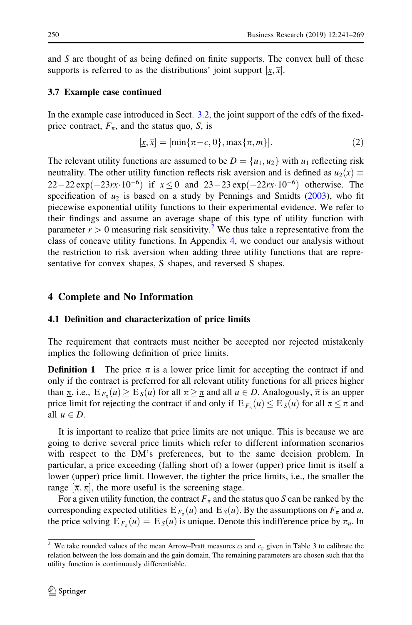<span id="page-9-0"></span>and S are thought of as being defined on finite supports. The convex hull of these supports is referred to as the distributions' joint support  $[x, \overline{x}]$ .

### 3.7 Example case continued

In the example case introduced in Sect. [3.2](#page-6-0), the joint support of the cdfs of the fixedprice contract,  $F_{\pi}$ , and the status quo, S, is

$$
[\underline{x}, \overline{x}] = [\min\{\pi - c, 0\}, \max\{\pi, m\}].
$$
 (2)

The relevant utility functions are assumed to be  $D = \{u_1, u_2\}$  with  $u_1$  reflecting risk neutrality. The other utility function reflects risk aversion and is defined as  $u_2(x) \equiv$  $22-22 \exp(-23rx \cdot 10^{-6})$  if  $x \le 0$  and  $23-23 \exp(-22rx \cdot 10^{-6})$  otherwise. The specification of  $u_2$  is based on a study by Pennings and Smidts [\(2003](#page-27-0)), who fit piecewise exponential utility functions to their experimental evidence. We refer to their findings and assume an average shape of this type of utility function with parameter  $r > 0$  measuring risk sensitivity.<sup>2</sup> We thus take a representative from the class of concave utility functions. In Appendix [4](#page-24-0), we conduct our analysis without the restriction to risk aversion when adding three utility functions that are representative for convex shapes, S shapes, and reversed S shapes.

# 4 Complete and No Information

### 4.1 Definition and characterization of price limits

The requirement that contracts must neither be accepted nor rejected mistakenly implies the following definition of price limits.

**Definition 1** The price  $\pi$  is a lower price limit for accepting the contract if and only if the contract is preferred for all relevant utility functions for all prices higher than  $\pi$ , i.e.,  $E_{F_{\tau}}(u) \geq E_{S}(u)$  for all  $\pi \geq \pi$  and all  $u \in D$ . Analogously,  $\overline{\pi}$  is an upper price limit for rejecting the contract if and only if  $E_{F_n}(u) \le E_{S}(u)$  for all  $\pi \le \overline{\pi}$  and all  $u \in D$ .

It is important to realize that price limits are not unique. This is because we are going to derive several price limits which refer to different information scenarios with respect to the DM's preferences, but to the same decision problem. In particular, a price exceeding (falling short of) a lower (upper) price limit is itself a lower (upper) price limit. However, the tighter the price limits, i.e., the smaller the range  $[\bar{\pi}, \bar{\pi}]$ , the more useful is the screening stage.

For a given utility function, the contract  $F_\pi$  and the status quo S can be ranked by the corresponding expected utilities  $E_{F_{\tau}}(u)$  and  $E_{S}(u)$ . By the assumptions on  $F_{\tau}$  and u, the price solving  $E_{F_{\tau}}(u) = E_{S}(u)$  is unique. Denote this indifference price by  $\pi_{u}$ . In

<sup>&</sup>lt;sup>2</sup> We take rounded values of the mean Arrow–Pratt measures  $c_l$  and  $c_g$  given in Table 3 to calibrate the relation between the loss domain and the gain domain. The remaining parameters are chosen such that the utility function is continuously differentiable.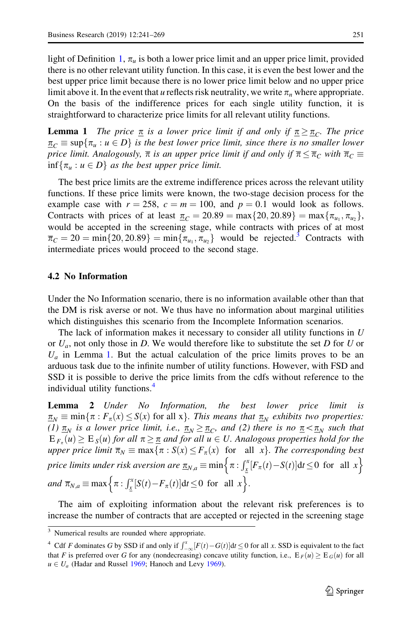<span id="page-10-0"></span>light of Definition [1](#page-9-0),  $\pi_u$  is both a lower price limit and an upper price limit, provided there is no other relevant utility function. In this case, it is even the best lower and the best upper price limit because there is no lower price limit below and no upper price limit above it. In the event that u reflects risk neutrality, we write  $\pi_n$  where appropriate. On the basis of the indifference prices for each single utility function, it is straightforward to characterize price limits for all relevant utility functions.

**Lemma 1** The price  $\pi$  is a lower price limit if and only if  $\pi \geq \pi_c$ . The price  $\pi_c \equiv \sup\{\pi_u : u \in D\}$  is the best lower price limit, since there is no smaller lower price limit. Analogously,  $\bar{\pi}$  is an upper price limit if and only if  $\bar{\pi} \leq \bar{\pi}_C$  with  $\bar{\pi}_C \equiv$  $\inf{\pi_u : u \in D}$  as the best upper price limit.

The best price limits are the extreme indifference prices across the relevant utility functions. If these price limits were known, the two-stage decision process for the example case with  $r = 258$ ,  $c = m = 100$ , and  $p = 0.1$  would look as follows. Contracts with prices of at least  $\pi_c = 20.89 = \max\{20, 20.89\} = \max\{\pi_{u_1}, \pi_{u_2}\},\$ would be accepted in the screening stage, while contracts with prices of at most  $\overline{\pi}_C = 20 = \min\{20, 20.89\} = \min\{\pi_u, \pi_u\}$  would be rejected.<sup>3</sup> Contracts with intermediate prices would proceed to the second stage.

#### 4.2 No Information

Under the No Information scenario, there is no information available other than that the DM is risk averse or not. We thus have no information about marginal utilities which distinguishes this scenario from the Incomplete Information scenarios.

The lack of information makes it necessary to consider all utility functions in  $U$ or  $U_a$ , not only those in D. We would therefore like to substitute the set D for U or  $U_a$  in Lemma 1. But the actual calculation of the price limits proves to be an arduous task due to the infinite number of utility functions. However, with FSD and SSD it is possible to derive the price limits from the cdfs without reference to the individual utility functions.<sup>4</sup>

Lemma 2 Under No Information, the best lower price limit is  $\underline{\pi}_N \equiv \min\{\pi : F_\pi(x) \leq S(x) \text{ for all x}\}.$  This means that  $\underline{\pi}_N$  exhibits two properties: (1)  $\underline{\pi}_N$  is a lower price limit, i.e.,  $\underline{\pi}_N \geq \underline{\pi}_C$ , and (2) there is no  $\underline{\pi} < \underline{\pi}_N$  such that  $E_{F_{\pi}}(u) \ge E_{S}(u)$  for all  $\pi \ge \pi$  and for all  $u \in U$ . Analogous properties hold for the upper price limit  $\overline{\pi}_N \equiv \max\{\pi : S(x) \leq F_\pi(x) \text{ for all } x\}.$  The corresponding best price limits under risk aversion are  $\underline{\pi}_{N,a} \equiv \min \Bigl\{ \pi : \int_{x}^{x} [F_{\pi}(t) - S(t)] \mathrm{d}t \leq 0 \, \text{ for all } x$  $\frac{1}{2}$  or  $\frac{1}{2}$  or  $\frac{1}{2}$  or  $\frac{1}{2}$ and  $\overline{\pi}_{N,a} \equiv \max \left\{ \pi : \int_{\underline{x}}^x [S(t) - F_{\pi}(t)] dt \leq 0 \text{ for all } x \right\}.$ 

The aim of exploiting information about the relevant risk preferences is to increase the number of contracts that are accepted or rejected in the screening stage

<sup>&</sup>lt;sup>3</sup> Numerical results are rounded where appropriate.

<sup>&</sup>lt;sup>4</sup> Cdf *F* dominates *G* by SSD if and only if  $\int_{-\infty}^{x} [F(t)-G(t)]dt \leq 0$  for all *x*. SSD is equivalent to the fact that F is preferred over G for any (nondecreasing) concave utility function, i.e.,  $E_F(u) \ge E_G(u)$  for all  $u \in U_a$  (Hadar and Russel [1969;](#page-27-0) Hanoch and Levy [1969](#page-27-0)).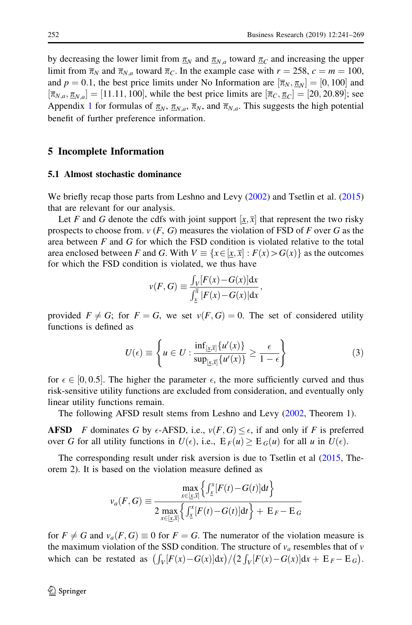<span id="page-11-0"></span>by decreasing the lower limit from  $\underline{\pi}_N$  and  $\underline{\pi}_{N,a}$  toward  $\underline{\pi}_C$  and increasing the upper limit from  $\overline{\pi}_N$  and  $\overline{\pi}_{N,a}$  toward  $\overline{\pi}_C$ . In the example case with  $r = 258$ ,  $c = m = 100$ , and  $p = 0.1$ , the best price limits under No Information are  $[\overline{\pi}_N, \underline{\pi}_N] = [0, 100]$  and  $[\bar{\pi}_{N,a}, \bar{\pi}_{N,a}] = [11.11, 100]$ , while the best price limits are  $[\bar{\pi}_C, \bar{\pi}_C] = [20, 20.89]$ ; see Appendix [1](#page-22-0) for formulas of  $\pi_N$ ,  $\pi_{N,a}$ ,  $\overline{\pi}_N$ , and  $\overline{\pi}_{N,a}$ . This suggests the high potential benefit of further preference information.

### 5 Incomplete Information

#### 5.1 Almost stochastic dominance

We briefly recap those parts from Leshno and Levy ([2002\)](#page-27-0) and Tsetlin et al. [\(2015\)](#page-27-0) that are relevant for our analysis.

Let F and G denote the cdfs with joint support  $[x,\overline{x}]$  that represent the two risky prospects to choose from.  $v(F, G)$  measures the violation of FSD of F over G as the area between  $F$  and  $G$  for which the FSD condition is violated relative to the total area enclosed between F and G. With  $V \equiv \{x \in [x, \bar{x}] : F(x) > G(x)\}$  as the outcomes for which the FSD condition is violated, we thus have

$$
v(F, G) \equiv \frac{\int_V [F(x) - G(x)] dx}{\int_{x}^{\overline{x}} |F(x) - G(x)| dx},
$$

provided  $F \neq G$ ; for  $F = G$ , we set  $v(F, G) = 0$ . The set of considered utility functions is defined as

$$
U(\epsilon) \equiv \left\{ u \in U : \frac{\inf_{[x,\overline{x}]} \{u'(x)\}}{\sup_{[x,\overline{x}]} \{u'(x)\}} \ge \frac{\epsilon}{1-\epsilon} \right\}
$$
(3)

for  $\epsilon \in [0, 0.5]$ . The higher the parameter  $\epsilon$ , the more sufficiently curved and thus risk-sensitive utility functions are excluded from consideration, and eventually only linear utility functions remain.

The following AFSD result stems from Leshno and Levy [\(2002](#page-27-0), Theorem 1).

**AFSD** F dominates G by  $\epsilon$ -AFSD, i.e.,  $\nu(F, G) \leq \epsilon$ , if and only if F is preferred over G for all utility functions in  $U(\epsilon)$ , i.e.,  $E_F(u) \ge E_G(u)$  for all u in  $U(\epsilon)$ .

The corresponding result under risk aversion is due to Tsetlin et al ([2015,](#page-27-0) Theorem 2). It is based on the violation measure defined as

$$
v_a(F,G) \equiv \frac{\max\limits_{x \in [\underline{x},\overline{x}]} \bigg\{ \int_{\underline{x}}^x [F(t)-G(t)] \mathrm{d}t \bigg\}}{2 \max\limits_{x \in [\underline{x},\overline{x}]} \bigg\{ \int_{\underline{x}}^x [F(t)-G(t)] \mathrm{d}t \bigg\} + \mathbf{E}_F - \mathbf{E}_G}
$$

for  $F \neq G$  and  $v_a(F, G) \equiv 0$  for  $F = G$ . The numerator of the violation measure is the maximum violation of the SSD condition. The structure of  $v_a$  resembles that of  $v_a$ which can be restated as  $\left(\int_V [F(x)-G(x)]dx\right)/\left(2\int_V [F(x)-G(x)]dx + E_F - E_G\right)$ .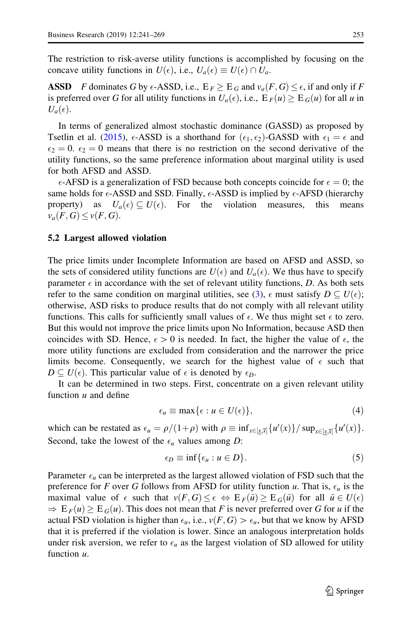<span id="page-12-0"></span>The restriction to risk-averse utility functions is accomplished by focusing on the concave utility functions in  $U(\epsilon)$ , i.e.,  $U_a(\epsilon) \equiv U(\epsilon) \cap U_a$ .

**ASSD** F dominates G by  $\epsilon$ -ASSD, i.e.,  $E_F \ge E_G$  and  $v_a(F, G) \le \epsilon$ , if and only if F is preferred over G for all utility functions in  $U_a(\epsilon)$ , i.e.,  $E_F(u) \ge E_G(u)$  for all u in  $U_a(\epsilon)$ .

In terms of generalized almost stochastic dominance (GASSD) as proposed by Tsetlin et al. ([2015\)](#page-27-0),  $\epsilon$ -ASSD is a shorthand for  $(\epsilon_1, \epsilon_2)$ -GASSD with  $\epsilon_1 = \epsilon$  and  $\epsilon_2 = 0$ .  $\epsilon_2 = 0$  means that there is no restriction on the second derivative of the utility functions, so the same preference information about marginal utility is used for both AFSD and ASSD.

 $\epsilon$ -AFSD is a generalization of FSD because both concepts coincide for  $\epsilon = 0$ ; the same holds for  $\epsilon$ -ASSD and SSD. Finally,  $\epsilon$ -ASSD is implied by  $\epsilon$ -AFSD (hierarchy property) as  $U_a(\epsilon) \subseteq U(\epsilon)$ . For the violation measures, this means  $v_a(F, G) \leq v(F, G)$ .

### 5.2 Largest allowed violation

The price limits under Incomplete Information are based on AFSD and ASSD, so the sets of considered utility functions are  $U(\epsilon)$  and  $U_a(\epsilon)$ . We thus have to specify parameter  $\epsilon$  in accordance with the set of relevant utility functions, D. As both sets refer to the same condition on marginal utilities, see [\(3](#page-11-0)),  $\epsilon$  must satisfy  $D \subseteq U(\epsilon)$ ; otherwise, ASD risks to produce results that do not comply with all relevant utility functions. This calls for sufficiently small values of  $\epsilon$ . We thus might set  $\epsilon$  to zero. But this would not improve the price limits upon No Information, because ASD then coincides with SD. Hence,  $\epsilon > 0$  is needed. In fact, the higher the value of  $\epsilon$ , the more utility functions are excluded from consideration and the narrower the price limits become. Consequently, we search for the highest value of  $\epsilon$  such that  $D \subseteq U(\epsilon)$ . This particular value of  $\epsilon$  is denoted by  $\epsilon_D$ .

It can be determined in two steps. First, concentrate on a given relevant utility function  $u$  and define

$$
\epsilon_u \equiv \max\{\epsilon : u \in U(\epsilon)\},\tag{4}
$$

which can be restated as  $\epsilon_u = \rho/(1+\rho)$  with  $\rho \equiv \inf_{x \in [x,\bar{x}]} \{u'(x)\} / \sup_{x \in [x,\bar{x}]} \{u'(x)\}$ . Second, take the lowest of the  $\epsilon_u$  values among D:

$$
\epsilon_D \equiv \inf \{ \epsilon_u : u \in D \}. \tag{5}
$$

Parameter  $\epsilon_u$  can be interpreted as the largest allowed violation of FSD such that the preference for F over G follows from AFSD for utility function u. That is,  $\epsilon_u$  is the maximal value of  $\epsilon$  such that  $v(F,G) \leq \epsilon \Leftrightarrow E_F(\tilde{u}) \geq E_G(\tilde{u})$  for all  $\tilde{u} \in U(\epsilon)$  $\Rightarrow$  E<sub>F</sub> $(u)$   $\geq$  E<sub>G</sub> $(u)$ . This does not mean that F is never preferred over G for u if the actual FSD violation is higher than  $\epsilon_u$ , i.e.,  $v(F, G) > \epsilon_u$ , but that we know by AFSD that it is preferred if the violation is lower. Since an analogous interpretation holds under risk aversion, we refer to  $\epsilon_u$  as the largest violation of SD allowed for utility function u.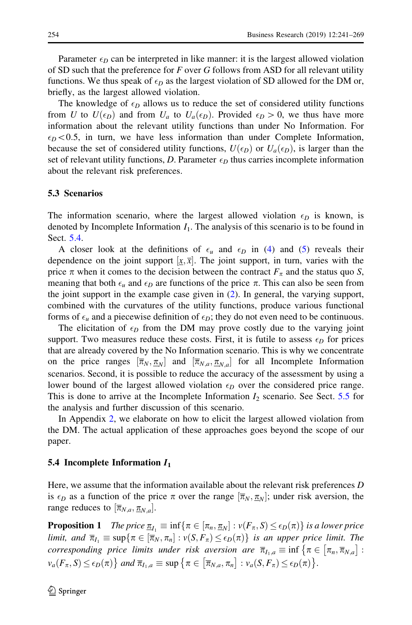<span id="page-13-0"></span>Parameter  $\epsilon_D$  can be interpreted in like manner: it is the largest allowed violation of SD such that the preference for  $F$  over  $G$  follows from ASD for all relevant utility functions. We thus speak of  $\epsilon_D$  as the largest violation of SD allowed for the DM or, briefly, as the largest allowed violation.

The knowledge of  $\epsilon_D$  allows us to reduce the set of considered utility functions from U to  $U(\epsilon_D)$  and from  $U_a$  to  $U_a(\epsilon_D)$ . Provided  $\epsilon_D > 0$ , we thus have more information about the relevant utility functions than under No Information. For  $\epsilon_D < 0.5$ , in turn, we have less information than under Complete Information, because the set of considered utility functions,  $U(\epsilon_D)$  or  $U_a(\epsilon_D)$ , is larger than the set of relevant utility functions, D. Parameter  $\epsilon_D$  thus carries incomplete information about the relevant risk preferences.

### 5.3 Scenarios

The information scenario, where the largest allowed violation  $\epsilon_D$  is known, is denoted by Incomplete Information  $I_1$ . The analysis of this scenario is to be found in Sect. 5.4.

A closer look at the definitions of  $\epsilon_u$  and  $\epsilon_D$  in [\(4](#page-12-0)) and [\(5](#page-12-0)) reveals their dependence on the joint support  $[x, \overline{x}]$ . The joint support, in turn, varies with the price  $\pi$  when it comes to the decision between the contract  $F_{\pi}$  and the status quo S, meaning that both  $\epsilon_u$  and  $\epsilon_D$  are functions of the price  $\pi$ . This can also be seen from the joint support in the example case given in ([2\)](#page-9-0). In general, the varying support, combined with the curvatures of the utility functions, produce various functional forms of  $\epsilon_u$  and a piecewise definition of  $\epsilon_D$ ; they do not even need to be continuous.

The elicitation of  $\epsilon_D$  from the DM may prove costly due to the varying joint support. Two measures reduce these costs. First, it is futile to assess  $\epsilon_D$  for prices that are already covered by the No Information scenario. This is why we concentrate on the price ranges  $[\overline{\pi}_N, \underline{\pi}_N]$  and  $[\overline{\pi}_{N,a}, \underline{\pi}_{N,a}]$  for all Incomplete Information scenarios. Second, it is possible to reduce the accuracy of the assessment by using a lower bound of the largest allowed violation  $\epsilon_D$  over the considered price range. This is done to arrive at the Incomplete Information  $I_2$  scenario. See Sect. [5.5](#page-14-0) for the analysis and further discussion of this scenario.

In Appendix [2](#page-23-0), we elaborate on how to elicit the largest allowed violation from the DM. The actual application of these approaches goes beyond the scope of our paper.

#### 5.4 Incomplete Information  $I_1$

Here, we assume that the information available about the relevant risk preferences D is  $\epsilon_D$  as a function of the price  $\pi$  over the range  $[\overline{\pi}_N, \underline{\pi}_N]$ ; under risk aversion, the range reduces to  $[\overline{\pi}_{N,a}, \pi_{N,a}]$ .

**Proposition 1** The price  $\underline{\pi}_{I_1} \equiv \inf \{ \pi \in [\pi_n, \underline{\pi}_N] : \nu(F_\pi, S) \leq \epsilon_D(\pi) \}$  is a lower price limit, and  $\overline{\pi}_{I_1} \equiv \sup \{ \pi \in [\overline{\pi}_N, \pi_n] : v(S, F_\pi) \le \epsilon_D(\pi) \}$  is an upper price limit. The corresponding price limits under risk aversion are  $\overline{\pi}_{I_1,a} \equiv \inf \{ \pi \in [\pi_n, \overline{\pi}_{N,a}] :$  $v_a(F_\pi, S) \leq \epsilon_D(\pi) \}$  and  $\overline{\pi}_{I_1, a} \equiv \sup \big\{ \pi \in \big[ \overline{\pi}_{N,a}, \pi_n \big] : v_a(S, F_\pi) \leq \epsilon_D(\pi) \big\}.$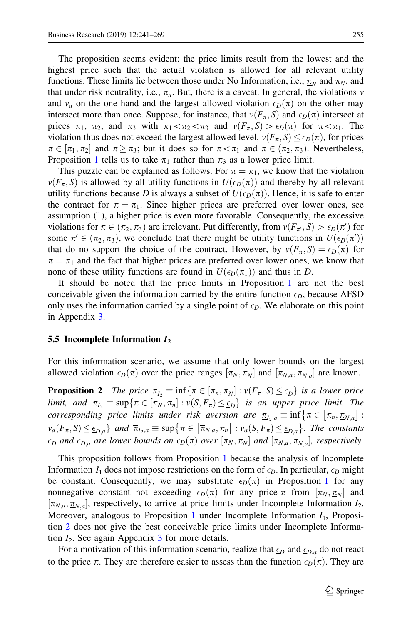<span id="page-14-0"></span>The proposition seems evident: the price limits result from the lowest and the highest price such that the actual violation is allowed for all relevant utility functions. These limits lie between those under No Information, i.e.,  $\underline{\pi}_N$  and  $\overline{\pi}_N$ , and that under risk neutrality, i.e.,  $\pi_n$ . But, there is a caveat. In general, the violations v and  $v_a$  on the one hand and the largest allowed violation  $\epsilon_D(\pi)$  on the other may intersect more than once. Suppose, for instance, that  $v(F_{\pi}, S)$  and  $\epsilon_D(\pi)$  intersect at prices  $\pi_1$ ,  $\pi_2$ , and  $\pi_3$  with  $\pi_1 \lt \pi_2 \lt \pi_3$  and  $v(F_\pi, S) > \epsilon_D(\pi)$  for  $\pi \lt \pi_1$ . The violation thus does not exceed the largest allowed level,  $v(F_{\pi}, S) \leq \epsilon_D(\pi)$ , for prices  $\pi \in [\pi_1, \pi_2]$  and  $\pi > \pi_3$ ; but it does so for  $\pi < \pi_1$  and  $\pi \in (\pi_2, \pi_3)$ . Nevertheless, Proposition [1](#page-13-0) tells us to take  $\pi_1$  rather than  $\pi_3$  as a lower price limit.

This puzzle can be explained as follows. For  $\pi = \pi_1$ , we know that the violation  $v(F_{\pi}, S)$  is allowed by all utility functions in  $U(\epsilon_D(\pi))$  and thereby by all relevant utility functions because D is always a subset of  $U(\epsilon_D(\pi))$ . Hence, it is safe to enter the contract for  $\pi = \pi_1$ . Since higher prices are preferred over lower ones, see assumption [\(1](#page-6-0)), a higher price is even more favorable. Consequently, the excessive violations for  $\pi \in (\pi_2, \pi_3)$  are irrelevant. Put differently, from  $v(F_{\pi'}, S) > \epsilon_D(\pi')$  for some  $\pi' \in (\pi_2, \pi_3)$ , we conclude that there might be utility functions in  $U(\epsilon_D(\pi'))$ that do no support the choice of the contract. However, by  $v(F_{\pi}, S) = \epsilon_D(\pi)$  for  $\pi = \pi_1$  and the fact that higher prices are preferred over lower ones, we know that none of these utility functions are found in  $U(\epsilon_D(\pi_1))$  and thus in D.

It should be noted that the price limits in Proposition [1](#page-13-0) are not the best conceivable given the information carried by the entire function  $\epsilon_D$ , because AFSD only uses the information carried by a single point of  $\epsilon_D$ . We elaborate on this point in Appendix [3.](#page-23-0)

### 5.5 Incomplete Information  $I_2$

For this information scenario, we assume that only lower bounds on the largest allowed violation  $\epsilon_D(\pi)$  over the price ranges  $[\overline{\pi}_N, \underline{\pi}_N]$  and  $[\overline{\pi}_{N,a}, \underline{\pi}_{N,a}]$  are known.

**Proposition 2** The price  $\underline{\pi}_{I_2} \equiv \inf \{ \pi \in [\pi_n, \underline{\pi}_N] : \nu(F_\pi, S) \leq \underline{\epsilon}_D \}$  is a lower price limit, and  $\overline{\pi}_{I_2} \equiv \sup \{ \pi \in [\overline{\pi}_N, \pi_n] : \nu(S, F_{\pi}) \leq \underline{\epsilon}_D \}$  is an upper price limit. The corresponding price limits under risk aversion are  $\underline{\pi}_{1_2,a} \equiv \inf \{ \pi \in [\pi_n, \underline{\pi}_{N,a}] :$  $v_a(F_\pi, S) \leq \underline{\epsilon}_{D,a}$  and  $\overline{\pi}_{I_2,a} \equiv \sup \{ \pi \in [\overline{\pi}_{N,a}, \pi_n] : v_a(S, F_\pi) \leq \underline{\epsilon}_{D,a} \}$ . The constants  $\underline{\epsilon_D}$  and  $\underline{\epsilon_{D,a}}$  are lower bounds on  $\epsilon_D(\pi)$  over  $[\overline{\pi}_N, \underline{\pi_N}]$  and  $[\overline{\pi}_{N,a}, \underline{\pi}_{N,a}]$ , respectively.

This proposition follows from Proposition [1](#page-13-0) because the analysis of Incomplete Information  $I_1$  does not impose restrictions on the form of  $\epsilon_D$ . In particular,  $\epsilon_D$  might be constant. Consequently, we may substitute  $\epsilon_D(\pi)$  in Proposition [1](#page-13-0) for any nonnegative constant not exceeding  $\epsilon_D(\pi)$  for any price  $\pi$  from  $[\overline{\pi}_N, \underline{\pi}_N]$  and  $[\overline{\pi}_{N,a}, \underline{\pi}_{N,a}]$ , respectively, to arrive at price limits under Incomplete Information  $I_2$ . Moreover, analogous to Proposition [1](#page-13-0) under Incomplete Information  $I_1$ , Proposition 2 does not give the best conceivable price limits under Incomplete Information  $I_2$ . See again Appendix [3](#page-23-0) for more details.

For a motivation of this information scenario, realize that  $\underline{\epsilon}_D$  and  $\underline{\epsilon}_{D,a}$  do not react to the price  $\pi$ . They are therefore easier to assess than the function  $\epsilon_D(\pi)$ . They are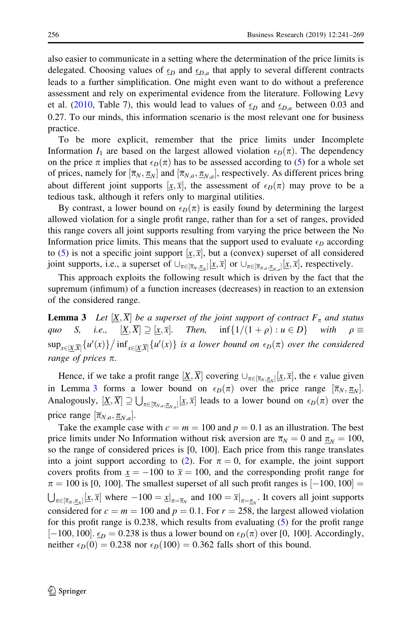also easier to communicate in a setting where the determination of the price limits is delegated. Choosing values of  $\underline{\epsilon}_D$  and  $\underline{\epsilon}_{D,a}$  that apply to several different contracts leads to a further simplification. One might even want to do without a preference assessment and rely on experimental evidence from the literature. Following Levy et al. ([2010,](#page-27-0) Table 7), this would lead to values of  $\epsilon_D$  and  $\epsilon_{D,a}$  between 0.03 and 0.27. To our minds, this information scenario is the most relevant one for business practice.

To be more explicit, remember that the price limits under Incomplete Information  $I_1$  are based on the largest allowed violation  $\epsilon_D(\pi)$ . The dependency on the price  $\pi$  implies that  $\epsilon_D(\pi)$  has to be assessed according to [\(5](#page-12-0)) for a whole set of prices, namely for  $[\overline{\pi}_N, \underline{\pi}_N]$  and  $[\overline{\pi}_{N,a}, \underline{\pi}_{N,a}]$ , respectively. As different prices bring about different joint supports  $[\underline{x}, \overline{x}]$ , the assessment of  $\epsilon_D(\pi)$  may prove to be a tedious task, although it refers only to marginal utilities.

By contrast, a lower bound on  $\epsilon_D(\pi)$  is easily found by determining the largest allowed violation for a single profit range, rather than for a set of ranges, provided this range covers all joint supports resulting from varying the price between the No Information price limits. This means that the support used to evaluate  $\epsilon_D$  according to [\(5](#page-12-0)) is not a specific joint support  $[x, \bar{x}]$ , but a (convex) superset of all considered joint supports, i.e., a superset of  $\bigcup_{\pi\in\left[\overline{\pi}_N,\underline{\pi}_N\right]} [\underline{x},\overline{x}]$  or  $\bigcup_{\pi\in\left[\overline{\pi}_{N,a},\underline{\pi}_{N,a}\right]} [\underline{x},\overline{x}]$ , respectively.

This approach exploits the following result which is driven by the fact that the supremum (infimum) of a function increases (decreases) in reaction to an extension of the considered range.

**Lemma 3** Let  $[\underline{X}, \overline{X}]$  be a superset of the joint support of contract  $F_{\pi}$  and status quo S, i.e.,  $[X,\overline{X}] \supseteq [x,\overline{x}]$ . Then,  $\inf\{1/(1+\rho): u \in D\}$  with  $\rho \equiv$  $\sup_{x\in[\underline{X},\overline{X}]} \{u'(x)\} / \inf_{x\in[\underline{X},\overline{X}]} \{u'(x)\}\$  is a lower bound on  $\epsilon_D(\pi)$  over the considered range of prices  $\pi$ .

Hence, if we take a profit range  $[X, X]$  covering  $\cup_{\pi \in [\overline{\pi}_N, \underline{\pi}_N]} [x, \overline{x}]$ , the  $\epsilon$  value given in Lemma 3 forms a lower bound on  $\epsilon_D(\pi)$  over the price range  $[\overline{\pi}_N, \underline{\pi}_N]$ . Analogously,  $[\underline{X}, \overline{X}] \supseteq \bigcup_{\pi \in [\overline{\pi}_{N,a}, \underline{\pi}_{N,a}]} [\underline{x}, \overline{x}]$  leads to a lower bound on  $\epsilon_D(\pi)$  over the price range  $[\overline{\pi}_{N,a}, \underline{\pi}_{N,a}].$ 

Take the example case with  $c = m = 100$  and  $p = 0.1$  as an illustration. The best price limits under No Information without risk aversion are  $\overline{\pi}_N = 0$  and  $\underline{\pi}_N = 100$ , so the range of considered prices is [0, 100]. Each price from this range translates into a joint support according to [\(2](#page-9-0)). For  $\pi = 0$ , for example, the joint support covers profits from  $x = -100$  to  $\bar{x} = 100$ , and the corresponding profit range for  $\pi = 100$  is [0, 100]. The smallest superset of all such profit ranges is  $[-100, 100] =$ i i  $_{\pi \in [\overline{\pi}_N, \underline{\pi}_N]} [\underline{x}, \overline{x}]$  where  $-100 = \underline{x}|_{\pi = \overline{\pi}_N}$  and  $100 = \overline{x}|_{\pi = \underline{\pi}_N}$ . It covers all joint supports considered for  $c = m = 100$  and  $p = 0.1$ . For  $r = 258$ , the largest allowed violation for this profit range is 0.238, which results from evaluating ([5](#page-12-0)) for the profit range  $[-100, 100]$ .  $\underline{\epsilon}_D = 0.238$  is thus a lower bound on  $\epsilon_D(\pi)$  over [0, 100]. Accordingly, neither  $\epsilon_D(0) = 0.238$  nor  $\epsilon_D(100) = 0.362$  falls short of this bound.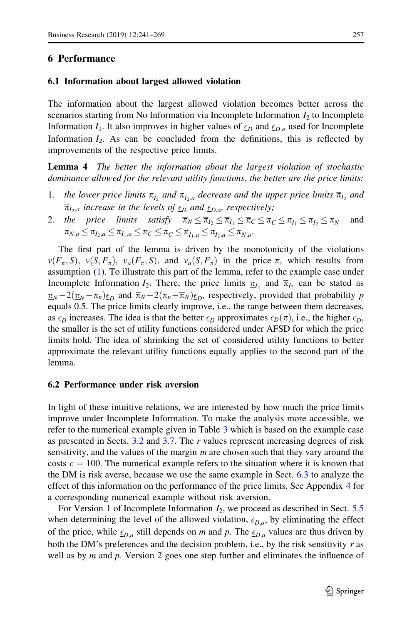# <span id="page-16-0"></span>6 Performance

### 6.1 Information about largest allowed violation

The information about the largest allowed violation becomes better across the scenarios starting from No Information via Incomplete Information  $I_2$  to Incomplete Information  $I_1$ . It also improves in higher values of  $\epsilon_D$  and  $\epsilon_{D,a}$  used for Incomplete Information  $I_2$ . As can be concluded from the definitions, this is reflected by improvements of the respective price limits.

**Lemma 4** The better the information about the largest violation of stochastic dominance allowed for the relevant utility functions, the better are the price limits:

- 1. the lower price limits  $\pi_{I_2}$  and  $\pi_{I_2,a}$  decrease and the upper price limits  $\overline{\pi}_{I_2}$  and  $\overline{\pi}_{I_2,a}$  increase in the levels of  $\underline{\epsilon}_D$  and  $\underline{\epsilon}_{D,a}$ , respectively;
- 2. the price limits satisfy  $\overline{\pi}_N \leq \overline{\pi}_l \leq \overline{\pi}_l \leq \overline{\pi}_c \leq \underline{\pi}_c \leq \underline{\pi}_l \leq \underline{\pi}_l \leq \underline{\pi}_N$  and  $\overline{\pi}_{N,a} \leq \overline{\pi}_{I_2,a} \leq \overline{\pi}_{I_1,a} \leq \overline{\pi}_C \leq \underline{\pi}_C \leq \underline{\pi}_{I_1,a} \leq \underline{\pi}_{I_2,a} \leq \underline{\pi}_{N,a}.$

The first part of the lemma is driven by the monotonicity of the violations  $v(F_\pi, S)$ ,  $v(S, F_\pi)$ ,  $v_a(F_\pi, S)$ , and  $v_a(S, F_\pi)$  in the price  $\pi$ , which results from assumption [\(1](#page-6-0)). To illustrate this part of the lemma, refer to the example case under Incomplete Information  $I_2$ . There, the price limits  $\pi_{I_2}$  and  $\overline{\pi}_{I_2}$  can be stated as  $\underline{\pi}_N-2(\underline{\pi}_N-\pi_n)\underline{\epsilon}_D$  and  $\overline{\pi}_N+2(\pi_n-\overline{\pi}_N)\underline{\epsilon}_D$ , respectively, provided that probability p equals 0.5. The price limits clearly improve, i.e., the range between them decreases, as  $\epsilon_D$  increases. The idea is that the better  $\epsilon_D$  approximates  $\epsilon_D(\pi)$ , i.e., the higher  $\epsilon_D$ , the smaller is the set of utility functions considered under AFSD for which the price limits hold. The idea of shrinking the set of considered utility functions to better approximate the relevant utility functions equally applies to the second part of the lemma.

#### 6.2 Performance under risk aversion

In light of these intuitive relations, we are interested by how much the price limits improve under Incomplete Information. To make the analysis more accessible, we refer to the numerical example given in Table [3](#page-18-0) which is based on the example case as presented in Sects. [3.2](#page-6-0) and [3.7](#page-9-0). The r values represent increasing degrees of risk sensitivity, and the values of the margin  $m$  are chosen such that they vary around the costs  $c = 100$ . The numerical example refers to the situation where it is known that the DM is risk averse, because we use the same example in Sect. [6.3](#page-20-0) to analyze the effect of this information on the performance of the price limits. See Appendix [4](#page-24-0) for a corresponding numerical example without risk aversion.

For Version 1 of Incomplete Information  $I_2$ , we proceed as described in Sect. [5.5](#page-14-0) when determining the level of the allowed violation,  $\epsilon_{D,a}$ , by eliminating the effect of the price, while  $\underline{\epsilon}_{D,a}$  still depends on m and p. The  $\underline{\epsilon}_{D,a}$  values are thus driven by both the DM's preferences and the decision problem, i.e., by the risk sensitivity  $r$  as well as by  $m$  and  $p$ . Version 2 goes one step further and eliminates the influence of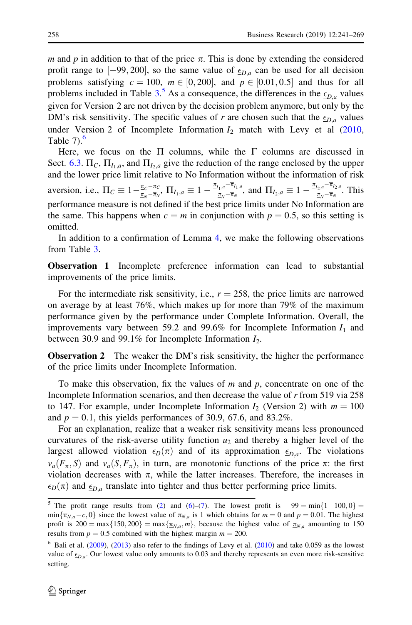<span id="page-17-0"></span>m and p in addition to that of the price  $\pi$ . This is done by extending the considered profit range to  $[-99, 200]$ , so the same value of  $\underline{\epsilon}_{D,a}$  can be used for all decision problems satisfying  $c = 100$ ,  $m \in [0, 200]$ , and  $p \in [0.01, 0.5]$  and thus for all problems included in Table [3](#page-18-0).<sup>5</sup> As a consequence, the differences in the  $\underline{\epsilon}_{D,a}$  values given for Version 2 are not driven by the decision problem anymore, but only by the DM's risk sensitivity. The specific values of r are chosen such that the  $\underline{\epsilon}_{D,a}$  values under Version 2 of Incomplete Information  $I_2$  match with Levy et al ([2010,](#page-27-0) Table  $7<sup>6</sup>$ 

Here, we focus on the  $\Pi$  columns, while the  $\Gamma$  columns are discussed in Sect. [6.3.](#page-20-0)  $\Pi_C$ ,  $\Pi_{I_1,a}$ , and  $\Pi_{I_2,a}$  give the reduction of the range enclosed by the upper and the lower price limit relative to No Information without the information of risk aversion, i.e.,  $\Pi_C \equiv 1 - \frac{\pi_c - \overline{\pi}_C}{\pi_N - \overline{\pi}_N}$ ,  $\Pi_{I_1, a} \equiv 1 - \frac{\pi_{I_1, a} - \overline{\pi}_{I_1, a}}{\pi_N - \overline{\pi}_N}$ , and  $\Pi_{I_2, a} \equiv 1 - \frac{\pi_{I_2, a} - \overline{\pi}_{I_2, a}}{\pi_N - \overline{\pi}_N}$ . This performance measure is not defined if the best price limits under No Information are the same. This happens when  $c = m$  in conjunction with  $p = 0.5$ , so this setting is omitted.

In addition to a confirmation of Lemma [4](#page-16-0), we make the following observations from Table [3.](#page-18-0)

Observation 1 Incomplete preference information can lead to substantial improvements of the price limits.

For the intermediate risk sensitivity, i.e.,  $r = 258$ , the price limits are narrowed on average by at least 76%, which makes up for more than 79% of the maximum performance given by the performance under Complete Information. Overall, the improvements vary between 59.2 and 99.6% for Incomplete Information  $I_1$  and between 30.9 and 99.1% for Incomplete Information  $I_2$ .

**Observation 2** The weaker the DM's risk sensitivity, the higher the performance of the price limits under Incomplete Information.

To make this observation, fix the values of  $m$  and  $p$ , concentrate on one of the Incomplete Information scenarios, and then decrease the value of r from 519 via 258 to 147. For example, under Incomplete Information  $I_2$  (Version 2) with  $m = 100$ and  $p = 0.1$ , this yields performances of 30.9, 67.6, and 83.2%.

For an explanation, realize that a weaker risk sensitivity means less pronounced curvatures of the risk-averse utility function  $u_2$  and thereby a higher level of the largest allowed violation  $\epsilon_D(\pi)$  and of its approximation  $\epsilon_{D,a}$ . The violations  $v_a(F_\pi, S)$  and  $v_a(S, F_\pi)$ , in turn, are monotonic functions of the price  $\pi$ : the first violation decreases with  $\pi$ , while the latter increases. Therefore, the increases in  $\epsilon_D(\pi)$  and  $\epsilon_{D,a}$  translate into tighter and thus better performing price limits.

<sup>&</sup>lt;sup>5</sup> The profit range results from [\(2](#page-9-0)) and [\(6](#page-22-0))–[\(7](#page-22-0)). The lowest profit is  $-99 = min\{1-100, 0\}$  $\min\{\overline{\pi}_{N,a}-c,0\}$  since the lowest value of  $\overline{\pi}_{N,a}$  is 1 which obtains for  $m = 0$  and  $p = 0.01$ . The highest profit is  $200 = \max\{150, 200\} = \max\{\frac{\pi}{N_a}, m\}$ , because the highest value of  $\frac{\pi}{N_a}$  amounting to 150 results from  $p = 0.5$  combined with the highest margin  $m = 200$ .

 $6$  Bali et al. [\(2009](#page-27-0)), [\(2013](#page-27-0)) also refer to the findings of Levy et al. [\(2010](#page-27-0)) and take 0.059 as the lowest value of  $\epsilon_{D,a}$ . Our lowest value only amounts to 0.03 and thereby represents an even more risk-sensitive setting.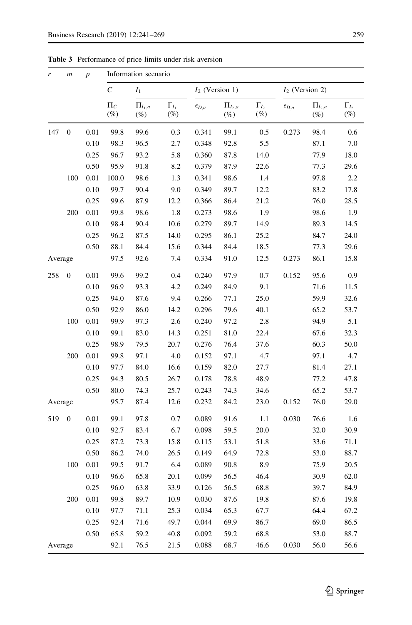| r       | $\boldsymbol{m}$ | $\boldsymbol{p}$ | Information scenario                       |                         |                          |                   |                         |                          |                   |                         |                          |
|---------|------------------|------------------|--------------------------------------------|-------------------------|--------------------------|-------------------|-------------------------|--------------------------|-------------------|-------------------------|--------------------------|
|         |                  |                  | $\mathcal{C}_{0}^{0}$<br>$\Pi_C$<br>$(\%)$ | $I_1$                   |                          | $I_2$ (Version 1) |                         |                          | $I_2$ (Version 2) |                         |                          |
|         |                  |                  |                                            | $\Pi_{I_1,a}$<br>$(\%)$ | $\Gamma_{I_1}$<br>$(\%)$ | $\epsilon_{D,a}$  | $\Pi_{I_2,a}$<br>$(\%)$ | $\Gamma_{I_2}$<br>$(\%)$ | $\epsilon_{D,a}$  | $\Pi_{I_2,a}$<br>$(\%)$ | $\Gamma_{I_2}$<br>$(\%)$ |
| 147     | $\boldsymbol{0}$ | 0.01             | 99.8                                       | 99.6                    | 0.3                      | 0.341             | 99.1                    | 0.5                      | 0.273             | 98.4                    | 0.6                      |
|         |                  | 0.10             | 98.3                                       | 96.5                    | 2.7                      | 0.348             | 92.8                    | 5.5                      |                   | 87.1                    | 7.0                      |
|         |                  | 0.25             | 96.7                                       | 93.2                    | 5.8                      | 0.360             | 87.8                    | 14.0                     |                   | 77.9                    | 18.0                     |
|         |                  | 0.50             | 95.9                                       | 91.8                    | 8.2                      | 0.379             | 87.9                    | 22.6                     |                   | 77.3                    | 29.6                     |
|         | 100              | 0.01             | 100.0                                      | 98.6                    | 1.3                      | 0.341             | 98.6                    | 1.4                      |                   | 97.8                    | 2.2                      |
|         |                  | 0.10             | 99.7                                       | 90.4                    | 9.0                      | 0.349             | 89.7                    | 12.2                     |                   | 83.2                    | 17.8                     |
|         |                  | 0.25             | 99.6                                       | 87.9                    | 12.2                     | 0.366             | 86.4                    | 21.2                     |                   | 76.0                    | 28.5                     |
|         | 200              | 0.01             | 99.8                                       | 98.6                    | 1.8                      | 0.273             | 98.6                    | 1.9                      |                   | 98.6                    | 1.9                      |
|         |                  | 0.10             | 98.4                                       | 90.4                    | 10.6                     | 0.279             | 89.7                    | 14.9                     |                   | 89.3                    | 14.5                     |
|         |                  | 0.25             | 96.2                                       | 87.5                    | 14.0                     | 0.295             | 86.1                    | 25.2                     |                   | 84.7                    | 24.0                     |
|         |                  | 0.50             | 88.1                                       | 84.4                    | 15.6                     | 0.344             | 84.4                    | 18.5                     |                   | 77.3                    | 29.6                     |
| Average |                  |                  | 97.5                                       | 92.6                    | 7.4                      | 0.334             | 91.0                    | 12.5                     | 86.1<br>0.273     |                         | 15.8                     |
| 258     | $\boldsymbol{0}$ | 0.01             | 99.6                                       | 99.2                    | 0.4                      | 0.240             | 97.9                    | 0.7                      | 0.152             | 95.6                    | 0.9                      |
|         |                  | 0.10             | 96.9                                       | 93.3                    | 4.2                      | 0.249             | 84.9                    | 9.1                      |                   | 71.6                    | 11.5                     |
|         |                  | 0.25             | 94.0                                       | 87.6                    | 9.4                      | 0.266             | 77.1                    | 25.0                     |                   | 59.9                    | 32.6                     |
|         |                  | 0.50             | 92.9                                       | 86.0                    | 14.2                     | 0.296             | 79.6                    | 40.1                     |                   | 65.2                    | 53.7                     |
|         | 100              | 0.01             | 99.9                                       | 97.3                    | 2.6                      | 0.240             | 97.2                    | 2.8                      |                   | 94.9                    | 5.1                      |
|         |                  | 0.10             | 99.1                                       | 83.0                    | 14.3                     | 0.251             | 81.0                    | 22.4                     |                   | 67.6                    | 32.3                     |
|         |                  | 0.25             | 98.9                                       | 79.5                    | 20.7                     | 0.276             | 76.4                    | 37.6                     |                   | 60.3                    | 50.0                     |
|         | 200              | 0.01             | 99.8                                       | 97.1                    | 4.0                      | 0.152             | 97.1                    | 4.7                      |                   | 97.1                    | 4.7                      |
|         |                  | 0.10             | 97.7                                       | 84.0                    | 16.6                     | 0.159             | 82.0                    | 27.7                     |                   | 81.4                    | 27.1                     |
|         |                  | 0.25             | 94.3                                       | 80.5                    | 26.7                     | 0.178             | 78.8                    | 48.9                     |                   | 77.2                    | 47.8                     |
|         |                  | 0.50             | 80.0                                       | 74.3                    | 25.7                     | 0.243             | 74.3                    | 34.6                     |                   | 65.2                    | 53.7                     |
| Average |                  |                  | 95.7                                       | 87.4                    | 12.6                     | 0.232             | 84.2                    | 23.0                     | 0.152             | 76.0                    | 29.0                     |
| 519     | $\mathbf{0}$     | 0.01             | 99.1                                       | 97.8                    | 0.7                      | 0.089             | 91.6                    | 1.1                      | 0.030             | 76.6                    | 1.6                      |
|         |                  | 0.10             | 92.7                                       | 83.4                    | 6.7                      | 0.098             | 59.5                    | 20.0                     |                   | 32.0                    | 30.9                     |
|         |                  | 0.25             | 87.2                                       | 73.3                    | 15.8                     | 0.115             | 53.1                    | 51.8                     |                   | 33.6                    | 71.1                     |
|         |                  | 0.50             | 86.2                                       | 74.0                    | 26.5                     | 0.149             | 64.9                    | 72.8                     |                   | 53.0                    | 88.7                     |
|         | 100              | 0.01             | 99.5                                       | 91.7                    | 6.4                      | 0.089             | 90.8                    | 8.9                      |                   | 75.9                    | 20.5                     |
|         |                  | 0.10             | 96.6                                       | 65.8                    | 20.1                     | 0.099             | 56.5                    | 46.4                     |                   | 30.9                    | 62.0                     |
|         |                  | 0.25             | 96.0                                       | 63.8                    | 33.9                     | 0.126             | 56.5                    | 68.8                     |                   | 39.7                    | 84.9                     |
|         | 200              | $0.01\,$         | 99.8                                       | 89.7                    | 10.9                     | 0.030             | 87.6                    | 19.8                     |                   | 87.6                    | 19.8                     |
|         |                  | 0.10             | 97.7                                       | 71.1                    | 25.3                     | 0.034             | 65.3                    | 67.7                     |                   | 64.4                    | 67.2                     |
|         |                  | 0.25             | 92.4                                       | 71.6                    | 49.7                     | 0.044             | 69.9                    | 86.7                     |                   | 69.0                    | 86.5                     |
|         |                  | 0.50             | 65.8                                       | 59.2                    | 40.8                     | 0.092             | 59.2                    | 68.8                     |                   | 53.0                    | 88.7                     |
| Average |                  |                  | 92.1                                       | 76.5                    | 21.5                     | 0.088             | 68.7                    | 46.6                     | 0.030             | 56.0                    | 56.6                     |

<span id="page-18-0"></span>Table 3 Performance of price limits under risk aversion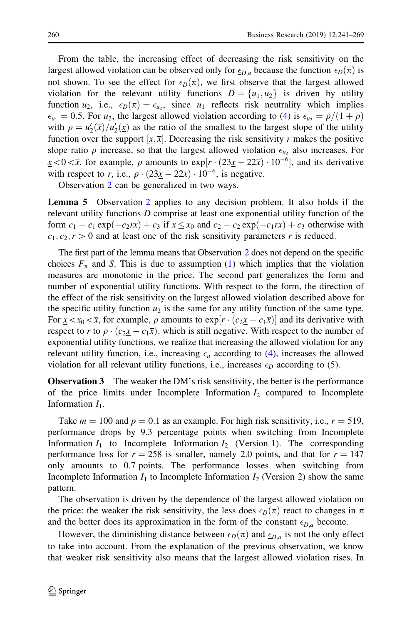<span id="page-19-0"></span>From the table, the increasing effect of decreasing the risk sensitivity on the largest allowed violation can be observed only for  $\underline{\epsilon}_{D,a}$  because the function  $\epsilon_D(\pi)$  is not shown. To see the effect for  $\epsilon_D(\pi)$ , we first observe that the largest allowed violation for the relevant utility functions  $D = \{u_1, u_2\}$  is driven by utility function  $u_2$ , i.e.,  $\epsilon_D(\pi) = \epsilon_{u_2}$ , since  $u_1$  reflects risk neutrality which implies  $\epsilon_{u_1} = 0.5$ . For  $u_2$ , the largest allowed violation according to ([4\)](#page-12-0) is  $\epsilon_{u_2} = \rho/(1+\rho)$ with  $\rho = u_2'(\bar{x})/u_2'(\bar{x})$  as the ratio of the smallest to the largest slope of the utility function over the support  $[x, \bar{x}]$ . Decreasing the risk sensitivity r makes the positive slope ratio  $\rho$  increase, so that the largest allowed violation  $\epsilon_{u_2}$  also increases. For  $x < 0 < \bar{x}$ , for example,  $\rho$  amounts to exp[ $r \cdot (23x - 22\bar{x}) \cdot 10^{-6}$ ], and its derivative with respect to r, i.e.,  $\rho \cdot (23x - 22\overline{x}) \cdot 10^{-6}$ , is negative.

Observation [2](#page-17-0) can be generalized in two ways.

Lemma 5 Observation [2](#page-17-0) applies to any decision problem. It also holds if the relevant utility functions  $D$  comprise at least one exponential utility function of the form  $c_1 - c_1 \exp(-c_2rx) + c_3$  if  $x \le x_0$  and  $c_2 - c_2 \exp(-c_1rx) + c_3$  otherwise with  $c_1, c_2, r > 0$  and at least one of the risk sensitivity parameters r is reduced.

The first part of the lemma means that Observation [2](#page-17-0) does not depend on the specific choices  $F_{\pi}$  and S. This is due to assumption [\(1](#page-6-0)) which implies that the violation measures are monotonic in the price. The second part generalizes the form and number of exponential utility functions. With respect to the form, the direction of the effect of the risk sensitivity on the largest allowed violation described above for the specific utility function  $u_2$  is the same for any utility function of the same type. For  $x \lt x_0 \lt \overline{x}$ , for example,  $\rho$  amounts to exp[ $r \cdot (c_2x - c_1\overline{x})$ ] and its derivative with respect to r to  $\rho \cdot (c_2 \underline{x} - c_1 \overline{x})$ , which is still negative. With respect to the number of exponential utility functions, we realize that increasing the allowed violation for any relevant utility function, i.e., increasing  $\epsilon_u$  according to [\(4](#page-12-0)), increases the allowed violation for all relevant utility functions, i.e., increases  $\epsilon_D$  according to ([5\)](#page-12-0).

**Observation 3** The weaker the DM's risk sensitivity, the better is the performance of the price limits under Incomplete Information  $I_2$  compared to Incomplete Information  $I_1$ .

Take  $m = 100$  and  $p = 0.1$  as an example. For high risk sensitivity, i.e.,  $r = 519$ , performance drops by 9.3 percentage points when switching from Incomplete Information  $I_1$  to Incomplete Information  $I_2$  (Version 1). The corresponding performance loss for  $r = 258$  is smaller, namely 2.0 points, and that for  $r = 147$ only amounts to 0.7 points. The performance losses when switching from Incomplete Information  $I_1$  to Incomplete Information  $I_2$  (Version 2) show the same pattern.

The observation is driven by the dependence of the largest allowed violation on the price: the weaker the risk sensitivity, the less does  $\epsilon_D(\pi)$  react to changes in  $\pi$ and the better does its approximation in the form of the constant  $\epsilon_{D,a}$  become.

However, the diminishing distance between  $\epsilon_D(\pi)$  and  $\underline{\epsilon}_{D,a}$  is not the only effect to take into account. From the explanation of the previous observation, we know that weaker risk sensitivity also means that the largest allowed violation rises. In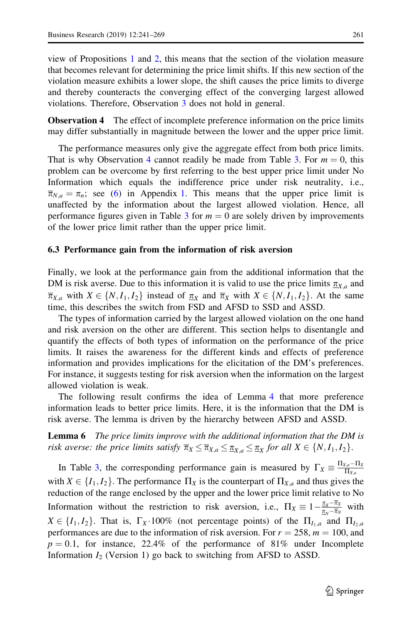<span id="page-20-0"></span>view of Propositions [1](#page-13-0) and [2,](#page-14-0) this means that the section of the violation measure that becomes relevant for determining the price limit shifts. If this new section of the violation measure exhibits a lower slope, the shift causes the price limits to diverge and thereby counteracts the converging effect of the converging largest allowed violations. Therefore, Observation [3](#page-19-0) does not hold in general.

Observation 4 The effect of incomplete preference information on the price limits may differ substantially in magnitude between the lower and the upper price limit.

The performance measures only give the aggregate effect from both price limits. That is why Observation 4 cannot readily be made from Table [3.](#page-18-0) For  $m = 0$ , this problem can be overcome by first referring to the best upper price limit under No Information which equals the indifference price under risk neutrality, i.e.,  $\overline{\pi}_{NA} = \pi_n$ ; see [\(6](#page-22-0)) in Appendix [1.](#page-22-0) This means that the upper price limit is unaffected by the information about the largest allowed violation. Hence, all performance figures given in Table [3](#page-18-0) for  $m = 0$  are solely driven by improvements of the lower price limit rather than the upper price limit.

#### 6.3 Performance gain from the information of risk aversion

Finally, we look at the performance gain from the additional information that the DM is risk averse. Due to this information it is valid to use the price limits  $\pi_{X,a}$  and  $\overline{\pi}_{X,a}$  with  $X \in \{N, I_1, I_2\}$  instead of  $\underline{\pi}_X$  and  $\overline{\pi}_X$  with  $X \in \{N, I_1, I_2\}$ . At the same time, this describes the switch from FSD and AFSD to SSD and ASSD.

The types of information carried by the largest allowed violation on the one hand and risk aversion on the other are different. This section helps to disentangle and quantify the effects of both types of information on the performance of the price limits. It raises the awareness for the different kinds and effects of preference information and provides implications for the elicitation of the DM's preferences. For instance, it suggests testing for risk aversion when the information on the largest allowed violation is weak.

The following result confirms the idea of Lemma [4](#page-16-0) that more preference information leads to better price limits. Here, it is the information that the DM is risk averse. The lemma is driven by the hierarchy between AFSD and ASSD.

**Lemma 6** The price limits improve with the additional information that the DM is risk averse: the price limits satisfy  $\overline{\pi}_X \leq \overline{\pi}_{X,a} \leq \underline{\pi}_{X,a} \leq \underline{\pi}_X$  for all  $X \in \{N, I_1, I_2\}.$ 

In Table [3](#page-18-0), the corresponding performance gain is measured by  $\Gamma_X \equiv \frac{\Pi_{X,a}-\Pi_X}{\Pi_{X,a}}$ with  $X \in \{I_1, I_2\}$ . The performance  $\Pi_X$  is the counterpart of  $\Pi_{X,a}$  and thus gives the reduction of the range enclosed by the upper and the lower price limit relative to No Information without the restriction to risk aversion, i.e.,  $\Pi_X \equiv 1 - \frac{\pi_X - \overline{\pi}_X}{\pi_X - \overline{\pi}_N}$  with  $X \in \{I_1, I_2\}$ . That is,  $\Gamma_X \cdot 100\%$  (not percentage points) of the  $\Pi_{I_1,a}$  and  $\Pi_{I_2,a}$ performances are due to the information of risk aversion. For  $r = 258$ ,  $m = 100$ , and  $p = 0.1$ , for instance, 22.4% of the performance of 81% under Incomplete Information  $I_2$  (Version 1) go back to switching from AFSD to ASSD.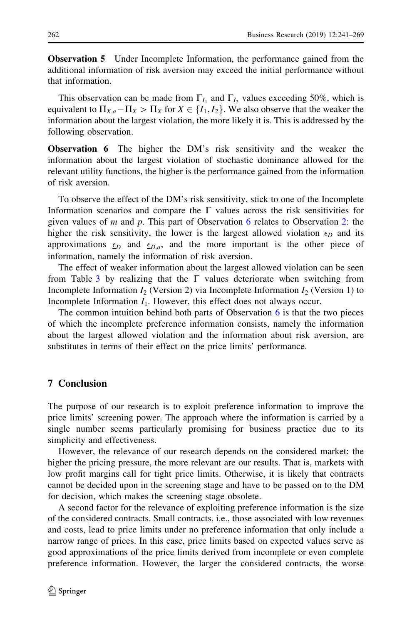Observation 5 Under Incomplete Information, the performance gained from the additional information of risk aversion may exceed the initial performance without that information.

This observation can be made from  $\Gamma_{I_1}$  and  $\Gamma_{I_2}$  values exceeding 50%, which is equivalent to  $\Pi_{X,a}-\Pi_X > \Pi_X$  for  $X \in \{I_1, I_2\}$ . We also observe that the weaker the information about the largest violation, the more likely it is. This is addressed by the following observation.

Observation 6 The higher the DM's risk sensitivity and the weaker the information about the largest violation of stochastic dominance allowed for the relevant utility functions, the higher is the performance gained from the information of risk aversion.

To observe the effect of the DM's risk sensitivity, stick to one of the Incomplete Information scenarios and compare the  $\Gamma$  values across the risk sensitivities for given values of m and p. This part of Observation 6 relates to Observation [2:](#page-17-0) the higher the risk sensitivity, the lower is the largest allowed violation  $\epsilon_D$  and its approximations  $\epsilon_D$  and  $\epsilon_{D,a}$ , and the more important is the other piece of information, namely the information of risk aversion.

The effect of weaker information about the largest allowed violation can be seen from Table [3](#page-18-0) by realizing that the  $\Gamma$  values deteriorate when switching from Incomplete Information  $I_2$  (Version 2) via Incomplete Information  $I_2$  (Version 1) to Incomplete Information  $I_1$ . However, this effect does not always occur.

The common intuition behind both parts of Observation  $6$  is that the two pieces of which the incomplete preference information consists, namely the information about the largest allowed violation and the information about risk aversion, are substitutes in terms of their effect on the price limits' performance.

# 7 Conclusion

The purpose of our research is to exploit preference information to improve the price limits' screening power. The approach where the information is carried by a single number seems particularly promising for business practice due to its simplicity and effectiveness.

However, the relevance of our research depends on the considered market: the higher the pricing pressure, the more relevant are our results. That is, markets with low profit margins call for tight price limits. Otherwise, it is likely that contracts cannot be decided upon in the screening stage and have to be passed on to the DM for decision, which makes the screening stage obsolete.

A second factor for the relevance of exploiting preference information is the size of the considered contracts. Small contracts, i.e., those associated with low revenues and costs, lead to price limits under no preference information that only include a narrow range of prices. In this case, price limits based on expected values serve as good approximations of the price limits derived from incomplete or even complete preference information. However, the larger the considered contracts, the worse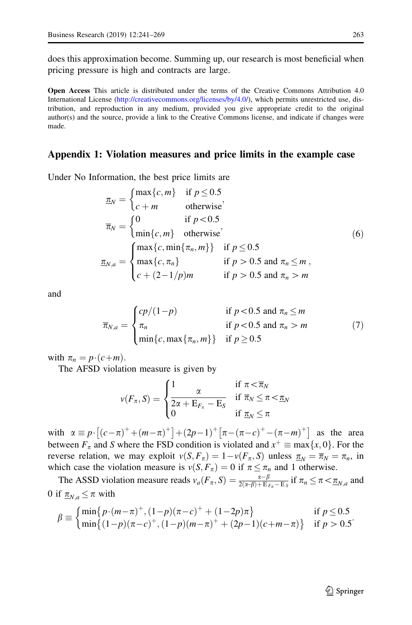<span id="page-22-0"></span>does this approximation become. Summing up, our research is most beneficial when pricing pressure is high and contracts are large.

Open Access This article is distributed under the terms of the Creative Commons Attribution 4.0 International License ([http://creativecommons.org/licenses/by/4.0/\)](http://creativecommons.org/licenses/by/4.0/), which permits unrestricted use, distribution, and reproduction in any medium, provided you give appropriate credit to the original author(s) and the source, provide a link to the Creative Commons license, and indicate if changes were made.

# Appendix 1: Violation measures and price limits in the example case

Under No Information, the best price limits are

$$
\underline{\pi}_N = \begin{cases}\n\max\{c, m\} & \text{if } p \le 0.5 \\
c + m & \text{otherwise}\n\end{cases}
$$
\n
$$
\overline{\pi}_N = \begin{cases}\n0 & \text{if } p < 0.5 \\
\min\{c, m\} & \text{otherwise}\n\end{cases}
$$
\n
$$
\underline{\pi}_{N,a} = \begin{cases}\n\max\{c, \min\{\pi_n, m\}\} & \text{if } p \le 0.5 \\
\max\{c, \pi_n\} & \text{if } p > 0.5 \text{ and } \pi_n \le m, \\
c + (2 - 1/p)m & \text{if } p > 0.5 \text{ and } \pi_n > m\n\end{cases}
$$
\n(6)

and

$$
\overline{\pi}_{N,a} = \begin{cases}\n\frac{cp}{1-p} & \text{if } p < 0.5 \text{ and } \pi_n \le m \\
\pi_n & \text{if } p < 0.5 \text{ and } \pi_n > m \\
\min\{c, \max\{\pi_n, m\}\} & \text{if } p \ge 0.5\n\end{cases}
$$
\n(7)

with  $\pi_n = p \cdot (c+m)$ .

The AFSD violation measure is given by

$$
v(F_{\pi}, S) = \begin{cases} \n\frac{1}{2\alpha + E_{F_{\pi}} - E_{S}} & \text{if } \pi < \overline{\pi}_{N} \\ \n0 & \text{if } \overline{\pi}_{N} \leq \pi < \underline{\pi}_{N} \\ \n0 & \text{if } \underline{\pi}_{N} \leq \pi \n\end{cases}
$$

with  $\alpha \equiv p \cdot [(c-\pi)^+ + (m-\pi)^+] + (2p-1)^+ [\pi - (\pi - c)^+ - (\pi - m)^+]$  as the area between  $F_{\pi}$  and S where the FSD condition is violated and  $x^+ \equiv \max\{x, 0\}$ . For the reverse relation, we may exploit  $v(S, F_\pi) = 1 - v(F_\pi, S)$  unless  $\pi_N = \overline{\pi}_N = \pi_n$ , in which case the violation measure is  $v(S, F_\pi) = 0$  if  $\pi \leq \pi_n$  and 1 otherwise.

The ASSD violation measure reads  $v_a(F_\pi, S) = \frac{\alpha - \beta}{2(\alpha - \beta) + E_{F_\pi} - E_s}$  if  $\pi_n \leq \pi < \underline{\pi}_{N,a}$  and 0 if  $\pi_{N,a} \leq \pi$  with

$$
\beta \equiv \begin{cases} \min\{p \cdot (m-\pi)^+, (1-p)(\pi-c)^+ + (1-2p)\pi\} & \text{if } p \le 0.5\\ \min\{ (1-p)(\pi-c)^+, (1-p)(m-\pi)^+ + (2p-1)(c+m-\pi) \} & \text{if } p > 0.5 \end{cases}
$$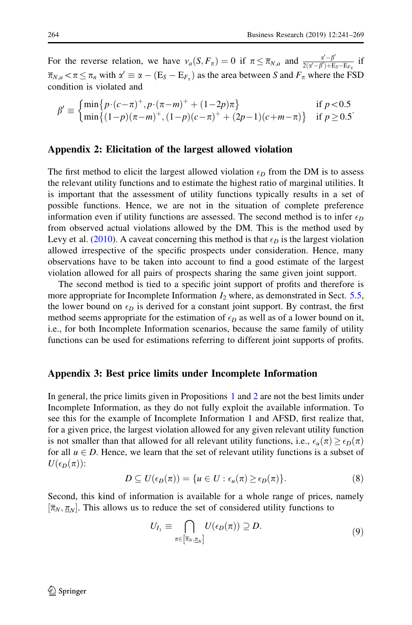<span id="page-23-0"></span>For the reverse relation, we have  $v_a(S, F_\pi) = 0$  if  $\pi \leq \overline{\pi}_{N,a}$  and  $\frac{\alpha' - \beta}{2(\alpha' - \beta') + B}$  $rac{\alpha - \beta}{2(\alpha' - \beta') + E_S - E_{F_\pi}}$  if  $\overline{\pi}_{N,a} < \pi \leq \pi_n$  with  $\alpha' \equiv \alpha - (E_S - E_{F_{\pi}})$  as the area between S and  $F_{\pi}$  where the FSD condition is violated and

$$
\beta' \equiv \begin{cases} \min\{p \cdot (c-\pi)^+, p \cdot (\pi - m)^+ + (1-2p)\pi\} & \text{if } p < 0.5\\ \min\{(1-p)(\pi - m)^+, (1-p)(c-\pi)^+ + (2p-1)(c+m-\pi)\} & \text{if } p \ge 0.5 \end{cases}
$$

### Appendix 2: Elicitation of the largest allowed violation

The first method to elicit the largest allowed violation  $\epsilon_D$  from the DM is to assess the relevant utility functions and to estimate the highest ratio of marginal utilities. It is important that the assessment of utility functions typically results in a set of possible functions. Hence, we are not in the situation of complete preference information even if utility functions are assessed. The second method is to infer  $\epsilon_D$ from observed actual violations allowed by the DM. This is the method used by Levy et al. ([2010\)](#page-27-0). A caveat concerning this method is that  $\epsilon_D$  is the largest violation allowed irrespective of the specific prospects under consideration. Hence, many observations have to be taken into account to find a good estimate of the largest violation allowed for all pairs of prospects sharing the same given joint support.

The second method is tied to a specific joint support of profits and therefore is more appropriate for Incomplete Information  $I_2$  where, as demonstrated in Sect. [5.5,](#page-14-0) the lower bound on  $\epsilon_D$  is derived for a constant joint support. By contrast, the first method seems appropriate for the estimation of  $\epsilon_D$  as well as of a lower bound on it, i.e., for both Incomplete Information scenarios, because the same family of utility functions can be used for estimations referring to different joint supports of profits.

### Appendix 3: Best price limits under Incomplete Information

In general, the price limits given in Propositions [1](#page-13-0) and [2](#page-14-0) are not the best limits under Incomplete Information, as they do not fully exploit the available information. To see this for the example of Incomplete Information 1 and AFSD, first realize that, for a given price, the largest violation allowed for any given relevant utility function is not smaller than that allowed for all relevant utility functions, i.e.,  $\epsilon_u(\pi) \geq \epsilon_D(\pi)$ for all  $u \in D$ . Hence, we learn that the set of relevant utility functions is a subset of  $U(\epsilon_D(\pi))$ :

$$
D \subseteq U(\epsilon_D(\pi)) = \{ u \in U : \epsilon_u(\pi) \ge \epsilon_D(\pi) \}.
$$
 (8)

Second, this kind of information is available for a whole range of prices, namely  $[\overline{\pi}_N, \pi_N]$ . This allows us to reduce the set of considered utility functions to

$$
U_{I_1} \equiv \bigcap_{\pi \in \left[\overline{\pi}_N, \underline{\pi}_N\right]} U(\epsilon_D(\pi)) \supseteq D. \tag{9}
$$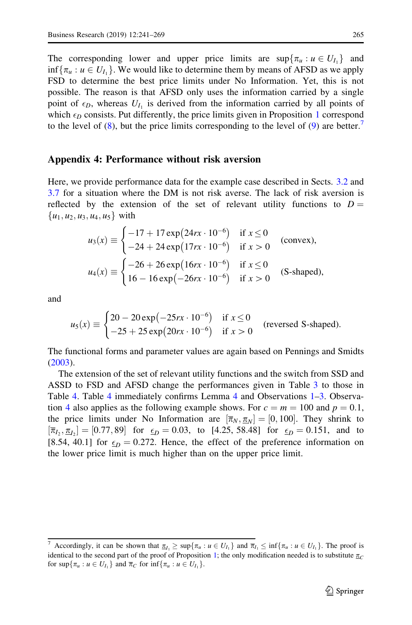<span id="page-24-0"></span>The corresponding lower and upper price limits are  $\sup\{\pi_u : u \in U_{I_1}\}\$  and inf $\{\pi_u : u \in U_{I_1}\}.$  We would like to determine them by means of AFSD as we apply FSD to determine the best price limits under No Information. Yet, this is not possible. The reason is that AFSD only uses the information carried by a single point of  $\epsilon_D$ , whereas  $U_{I_1}$  is derived from the information carried by all points of which  $\epsilon_D$  consists. Put differently, the price limits given in Proposition [1](#page-13-0) correspond to the level of  $(8)$  $(8)$ , but the price limits corresponding to the level of  $(9)$  $(9)$  $(9)$  are better.<sup>7</sup>

#### Appendix 4: Performance without risk aversion

Here, we provide performance data for the example case described in Sects. [3.2](#page-6-0) and [3.7](#page-9-0) for a situation where the DM is not risk averse. The lack of risk aversion is reflected by the extension of the set of relevant utility functions to  $D =$  ${u_1, u_2, u_3, u_4, u_5}$  with

$$
u_3(x) \equiv \begin{cases} -17 + 17 \exp(24rx \cdot 10^{-6}) & \text{if } x \le 0 \\ -24 + 24 \exp(17rx \cdot 10^{-6}) & \text{if } x > 0 \end{cases} \quad \text{(convex)},
$$
  

$$
u_4(x) \equiv \begin{cases} -26 + 26 \exp(16rx \cdot 10^{-6}) & \text{if } x \le 0 \\ 16 - 16 \exp(-26rx \cdot 10^{-6}) & \text{if } x > 0 \end{cases} \quad \text{(S-shaped)},
$$

and

$$
u_5(x) \equiv \begin{cases} 20 - 20 \exp(-25rx \cdot 10^{-6}) & \text{if } x \le 0 \\ -25 + 25 \exp(20rx \cdot 10^{-6}) & \text{if } x > 0 \end{cases}
$$
 (reversed S-shaped).

The functional forms and parameter values are again based on Pennings and Smidts [\(2003](#page-27-0)).

The extension of the set of relevant utility functions and the switch from SSD and ASSD to FSD and AFSD change the performances given in Table [3](#page-18-0) to those in Table [4](#page-25-0). Table [4](#page-25-0) immediately confirms Lemma [4](#page-16-0) and Observations [1–](#page-17-0)[3.](#page-19-0) Observa-tion [4](#page-20-0) also applies as the following example shows. For  $c = m = 100$  and  $p = 0.1$ , the price limits under No Information are  $[\overline{\pi}_N, \underline{\pi}_N] = [0, 100]$ . They shrink to  $[\overline{\pi}_{I_2}, \underline{\pi}_{I_2}] = [0.77, 89]$  for  $\underline{\epsilon}_D = 0.03$ , to  $[4.25, 58.48]$  for  $\underline{\epsilon}_D = 0.151$ , and to [8.54, 40.1] for  $\underline{\epsilon}_D = 0.272$ . Hence, the effect of the preference information on the lower price limit is much higher than on the upper price limit.

<sup>&</sup>lt;sup>7</sup> Accordingly, it can be shown that  $\pi_{I_1} \geq \sup\{\pi_u : u \in U_{I_1}\}\$  and  $\overline{\pi}_{I_1} \leq \inf\{\pi_u : u \in U_{I_1}\}\.$  The proof is identical to the second part of the proof of Proposition [1;](#page-13-0) the only modification needed is to substitute  $\pi_c$ for  $\sup\{\pi_u : u \in U_{I_1}\}\$  and  $\overline{\pi}_C$  for  $\inf\{\pi_u : u \in U_{I_1}\}.$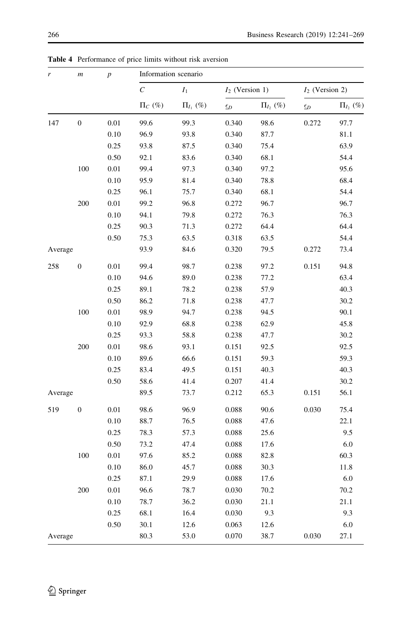| r       | $\boldsymbol{m}$ | $\boldsymbol{p}$ | Information scenario |                 |                          |                 |                          |                 |  |
|---------|------------------|------------------|----------------------|-----------------|--------------------------|-----------------|--------------------------|-----------------|--|
|         |                  |                  | $\overline{C}$       | $I_1$           | $I_2$ (Version 1)        |                 | $I_2$ (Version 2)        |                 |  |
|         |                  |                  | $\Pi_C(\%)$          | $\Pi_{I_1}(\%)$ | $\underline{\epsilon}_D$ | $\Pi_{I_2}(\%)$ | $\underline{\epsilon}_D$ | $\Pi_{I_2}(\%)$ |  |
| 147     | $\boldsymbol{0}$ | 0.01             | 99.6                 | 99.3            | 0.340                    | 98.6            | 0.272                    | 97.7            |  |
|         |                  | 0.10             | 96.9                 | 93.8            | 0.340                    | 87.7            |                          | 81.1            |  |
|         |                  | 0.25             | 93.8                 | 87.5            | 0.340                    | 75.4            |                          | 63.9            |  |
|         |                  | 0.50             | 92.1                 | 83.6            | 0.340                    | 68.1            |                          | 54.4            |  |
|         | 100              | 0.01             | 99.4                 | 97.3            | 0.340                    | 97.2            |                          | 95.6            |  |
|         |                  | 0.10             | 95.9                 | 81.4            | 0.340                    | 78.8            |                          | 68.4            |  |
|         |                  | 0.25             | 96.1                 | 75.7            | 0.340                    | 68.1            |                          | 54.4            |  |
|         | 200              | $0.01\,$         | 99.2                 | 96.8            | 0.272                    | 96.7            |                          | 96.7            |  |
|         |                  | 0.10             | 94.1                 | 79.8            | 0.272                    | 76.3            |                          | 76.3            |  |
|         |                  | 0.25             | 90.3                 | 71.3            | 0.272                    | 64.4            |                          | 64.4            |  |
|         |                  | 0.50             | 75.3                 | 63.5            | 0.318                    | 63.5            |                          | 54.4            |  |
| Average |                  |                  | 93.9                 | 84.6            | 0.320                    | 79.5            | 0.272                    | 73.4            |  |
| 258     | $\boldsymbol{0}$ | 0.01             | 99.4                 | 98.7            | 0.238                    | 97.2            | 0.151                    | 94.8            |  |
|         |                  | 0.10             | 94.6                 | 89.0            | 0.238                    | 77.2            |                          | 63.4            |  |
|         |                  | 0.25             | 89.1                 | 78.2            | 0.238                    | 57.9            |                          | 40.3            |  |
|         |                  | 0.50             | 86.2                 | 71.8            | 0.238                    | 47.7            |                          | 30.2            |  |
|         | 100              | 0.01             | 98.9                 | 94.7            | 0.238                    | 94.5            |                          | 90.1            |  |
|         |                  | 0.10             | 92.9                 | 68.8            | 0.238                    | 62.9            |                          | 45.8            |  |
|         |                  | 0.25             | 93.3                 | 58.8            | 0.238                    | 47.7            |                          | 30.2            |  |
|         | 200              | 0.01             | 98.6                 | 93.1            | 0.151                    | 92.5            |                          | 92.5            |  |
|         |                  | 0.10             | 89.6                 | 66.6            | 0.151                    | 59.3            |                          | 59.3            |  |
|         |                  | 0.25             | 83.4                 | 49.5            | 0.151                    | 40.3            |                          | 40.3            |  |
|         |                  | 0.50             | 58.6                 | 41.4            | 0.207                    | 41.4            |                          | 30.2            |  |
| Average |                  |                  | 89.5                 | 73.7            | 0.212                    | 65.3            | 0.151                    | 56.1            |  |
| 519     | $\boldsymbol{0}$ | 0.01             | 98.6                 | 96.9            | 0.088                    | 90.6            | 0.030                    | 75.4            |  |
|         |                  | 0.10             | 88.7                 | 76.5            | 0.088                    | 47.6            |                          | 22.1            |  |
|         |                  | 0.25             | 78.3                 | 57.3            | 0.088                    | 25.6            |                          | 9.5             |  |
|         |                  | 0.50             | 73.2                 | 47.4            | 0.088                    | 17.6            |                          | 6.0             |  |
|         | 100              | 0.01             | 97.6                 | 85.2            | 0.088                    | 82.8            |                          | 60.3            |  |
|         |                  | 0.10             | 86.0                 | 45.7            | 0.088                    | 30.3            |                          | 11.8            |  |
|         |                  | 0.25             | 87.1                 | 29.9            | 0.088                    | 17.6            |                          | 6.0             |  |
|         | 200              | 0.01             | 96.6                 | 78.7            | 0.030                    | 70.2            |                          | 70.2            |  |
|         |                  | 0.10             | 78.7                 | 36.2            | 0.030                    | 21.1            |                          | 21.1            |  |
|         |                  | 0.25             | 68.1                 | 16.4            | 0.030                    | 9.3             |                          | 9.3             |  |
|         |                  | 0.50             | 30.1                 | 12.6            | 0.063                    | 12.6            |                          | 6.0             |  |
| Average |                  |                  | 80.3                 | 53.0            | 0.070                    | 38.7            | 0.030                    | 27.1            |  |

<span id="page-25-0"></span>Table 4 Performance of price limits without risk aversion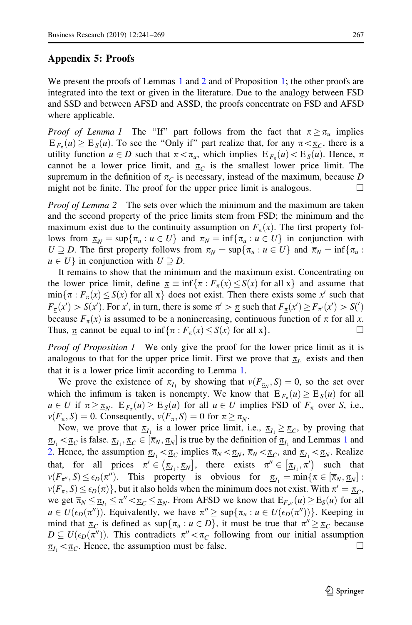# <span id="page-26-0"></span>Appendix 5: Proofs

We present the proofs of Lemmas [1](#page-10-0) and [2](#page-10-0) and of Proposition [1;](#page-13-0) the other proofs are integrated into the text or given in the literature. Due to the analogy between FSD and SSD and between AFSD and ASSD, the proofs concentrate on FSD and AFSD where applicable.

*Proof of Lemma 1* The "If" part follows from the fact that  $\pi \geq \pi_u$  implies  $E_{F_{\tau}}(u) \geq E_{S}(u)$ . To see the "Only if" part realize that, for any  $\pi < \pi_{C}$ , there is a utility function  $u \in D$  such that  $\pi < \pi_u$ , which implies  $E_{F_{\pi}}(u) < E_{S}(u)$ . Hence,  $\pi$ cannot be a lower price limit, and  $\pi_c$  is the smallest lower price limit. The supremum in the definition of  $\underline{\pi}_C$  is necessary, instead of the maximum, because D<br>might not be finite. The proof for the upper price limit is analogous. might not be finite. The proof for the upper price limit is analogous.

*Proof of Lemma 2* The sets over which the minimum and the maximum are taken and the second property of the price limits stem from FSD; the minimum and the maximum exist due to the continuity assumption on  $F_\pi(x)$ . The first property follows from  $\underline{\pi}_N = \sup\{\pi_u : u \in U\}$  and  $\overline{\pi}_N = \inf\{\pi_u : u \in U\}$  in conjunction with  $U \supseteq D$ . The first property follows from  $\underline{\pi}_N = \sup\{\pi_u : u \in U\}$  and  $\overline{\pi}_N = \inf\{\pi_u : u \in U\}$  $u \in U$  in conjunction with  $U \supset D$ .

It remains to show that the minimum and the maximum exist. Concentrating on the lower price limit, define  $\overline{\underline{\pi}} \equiv \inf \{ \pi : F_{\pi}(x) \leq S(x) \}$  for all  $x \}$  and assume that  $\min\{\pi : F_\pi(x) \leq S(x) \text{ for all x}\}\$  does not exist. Then there exists some x' such that  $F_{\underline{\pi}}(x') > S(x')$ . For x', in turn, there is some  $\pi' > \underline{\pi}$  such that  $F_{\underline{\pi}}(x') \geq F_{\pi'}(x') > S'$ because  $F_{\pi}(x)$  is assumed to be a nonincreasing, continuous function of  $\pi$  for all x. Thus,  $\pi$  cannot be equal to  $\inf{\pi : F_\pi(x) \leq S(x) \text{ for all } x}$ .

**Proof of Proposition 1** We only give the proof for the lower price limit as it is analogous to that for the upper price limit. First we prove that  $\pi$ <sub>I1</sub> exists and then that it is a lower price limit according to Lemma [1.](#page-10-0)

We prove the existence of  $\pi_{I_1}$  by showing that  $v(F_{\pi_v}, S) = 0$ , so the set over which the infimum is taken is nonempty. We know that  $E_{F_{\tau}}(u) \ge E_{S}(u)$  for all  $u \in U$  if  $\pi \geq \pi_N$ .  $E_{F_{\pi}}(u) \geq E_{S}(u)$  for all  $u \in U$  implies FSD of  $F_{\pi}$  over S, i.e.,  $v(F_\pi, S) = 0$ . Consequently,  $v(F_\pi, S) = 0$  for  $\pi \geq \pi_N$ .

Now, we prove that  $\pi_{I_1}$  is a lower price limit, i.e.,  $\pi_{I_1} \geq \pi_C$ , by proving that  $\pi_{I_1} < \pi_C$  $\pi_{I_1} < \pi_C$  $\pi_{I_1} < \pi_C$  is false.  $\pi_{I_1}, \pi_C \in [\pi_N, \pi_N]$  is true by the definition of  $\pi_{I_1}$  and Lemmas 1 and [2](#page-10-0). Hence, the assumption  $\pi_{I_1} < \pi_C$  implies  $\pi_N < \pi_N, \pi_N < \pi_C$ , and  $\pi_{I_1} < \pi_N$ . Realize that, for all prices  $\pi' \in (\underline{\pi_1}, \underline{\pi_N}]$ , there exists  $\pi'' \in [\underline{\pi_1}, \pi')$  such that  $v(F_{\pi}, S) \le \epsilon_D(\pi'')$ . This property is obvious for  $\underline{\pi}_{I_1} = \min\{\pi \in [\overline{\pi}_N, \underline{\pi}_N] :$  $v(F_{\pi}, S) \leq \epsilon_D(\pi)$ , but it also holds when the minimum does not exist. With  $\pi' = \pi_C$ , we get  $\overline{\pi}_N \leq \underline{\pi}_I \leq \pi'' < \underline{\pi}_C \leq \underline{\pi}_N$ . From AFSD we know that  $E_{F_{\pi''}}(u) \geq E_S(u)$  for all  $u \in U(\epsilon_D(\pi''))$ . Equivalently, we have  $\pi'' \geq \sup{\pi_u : u \in U(\epsilon_D(\pi''))}$ . Keeping in mind that  $\pi_C$  is defined as sup $\{\pi_u : u \in D\}$ , it must be true that  $\pi'' \geq \pi_C$  because  $D \subseteq U(\epsilon_D(\pi''))$ . This contradicts  $\pi'' < \underline{\pi}_C$  following from our initial assumption  $\pi_{I_1} < \pi_{C}$ . Hence, the assumption must be false.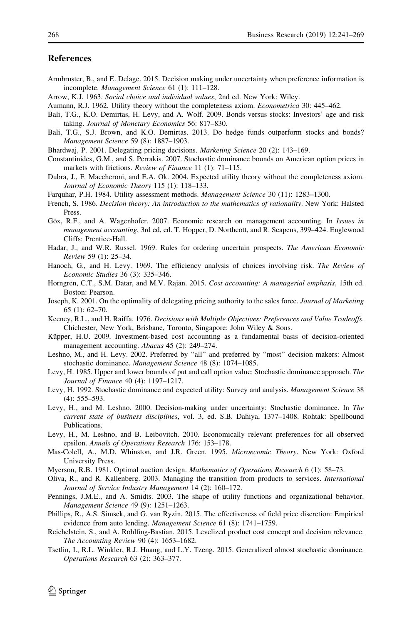#### <span id="page-27-0"></span>**References**

- Armbruster, B., and E. Delage. 2015. Decision making under uncertainty when preference information is incomplete. Management Science 61 (1): 111–128.
- Arrow, K.J. 1963. Social choice and individual values, 2nd ed. New York: Wiley.
- Aumann, R.J. 1962. Utility theory without the completeness axiom. Econometrica 30: 445–462.
- Bali, T.G., K.O. Demirtas, H. Levy, and A. Wolf. 2009. Bonds versus stocks: Investors' age and risk taking. Journal of Monetary Economics 56: 817–830.
- Bali, T.G., S.J. Brown, and K.O. Demirtas. 2013. Do hedge funds outperform stocks and bonds? Management Science 59 (8): 1887–1903.
- Bhardwaj, P. 2001. Delegating pricing decisions. Marketing Science 20 (2): 143–169.
- Constantinides, G.M., and S. Perrakis. 2007. Stochastic dominance bounds on American option prices in markets with frictions. Review of Finance 11 (1): 71–115.
- Dubra, J., F. Maccheroni, and E.A. Ok. 2004. Expected utility theory without the completeness axiom. Journal of Economic Theory 115 (1): 118–133.
- Farquhar, P.H. 1984. Utility assessment methods. Management Science 30 (11): 1283–1300.
- French, S. 1986. Decision theory: An introduction to the mathematics of rationality. New York: Halsted Press.
- Göx, R.F., and A. Wagenhofer. 2007. Economic research on management accounting. In Issues in management accounting, 3rd ed, ed. T. Hopper, D. Northcott, and R. Scapens, 399–424. Englewood Cliffs: Prentice-Hall.
- Hadar, J., and W.R. Russel. 1969. Rules for ordering uncertain prospects. The American Economic Review 59 (1): 25–34.
- Hanoch, G., and H. Levy. 1969. The efficiency analysis of choices involving risk. The Review of Economic Studies 36 (3): 335–346.
- Horngren, C.T., S.M. Datar, and M.V. Rajan. 2015. Cost accounting: A managerial emphasis, 15th ed. Boston: Pearson.
- Joseph, K. 2001. On the optimality of delegating pricing authority to the sales force. Journal of Marketing 65 (1): 62–70.
- Keeney, R.L., and H. Raiffa. 1976. Decisions with Multiple Objectives: Preferences and Value Tradeoffs. Chichester, New York, Brisbane, Toronto, Singapore: John Wiley & Sons.
- Küpper, H.U. 2009. Investment-based cost accounting as a fundamental basis of decision-oriented management accounting. Abacus 45 (2): 249–274.
- Leshno, M., and H. Levy. 2002. Preferred by "all" and preferred by "most" decision makers: Almost stochastic dominance. Management Science 48 (8): 1074–1085.
- Levy, H. 1985. Upper and lower bounds of put and call option value: Stochastic dominance approach. The Journal of Finance 40 (4): 1197–1217.
- Levy, H. 1992. Stochastic dominance and expected utility: Survey and analysis. Management Science 38 (4): 555–593.
- Levy, H., and M. Leshno. 2000. Decision-making under uncertainty: Stochastic dominance. In The current state of business disciplines, vol. 3, ed. S.B. Dahiya, 1377–1408. Rohtak: Spellbound Publications.
- Levy, H., M. Leshno, and B. Leibovitch. 2010. Economically relevant preferences for all observed epsilon. Annals of Operations Research 176: 153–178.
- Mas-Colell, A., M.D. Whinston, and J.R. Green. 1995. Microecomic Theory. New York: Oxford University Press.
- Myerson, R.B. 1981. Optimal auction design. Mathematics of Operations Research 6 (1): 58-73.
- Oliva, R., and R. Kallenberg. 2003. Managing the transition from products to services. International Journal of Service Industry Management 14 (2): 160–172.
- Pennings, J.M.E., and A. Smidts. 2003. The shape of utility functions and organizational behavior. Management Science 49 (9): 1251–1263.
- Phillips, R., A.S. Simsek, and G. van Ryzin. 2015. The effectiveness of field price discretion: Empirical evidence from auto lending. Management Science 61 (8): 1741–1759.
- Reichelstein, S., and A. Rohlfing-Bastian. 2015. Levelized product cost concept and decision relevance. The Accounting Review 90 (4): 1653–1682.
- Tsetlin, I., R.L. Winkler, R.J. Huang, and L.Y. Tzeng. 2015. Generalized almost stochastic dominance. Operations Research 63 (2): 363–377.